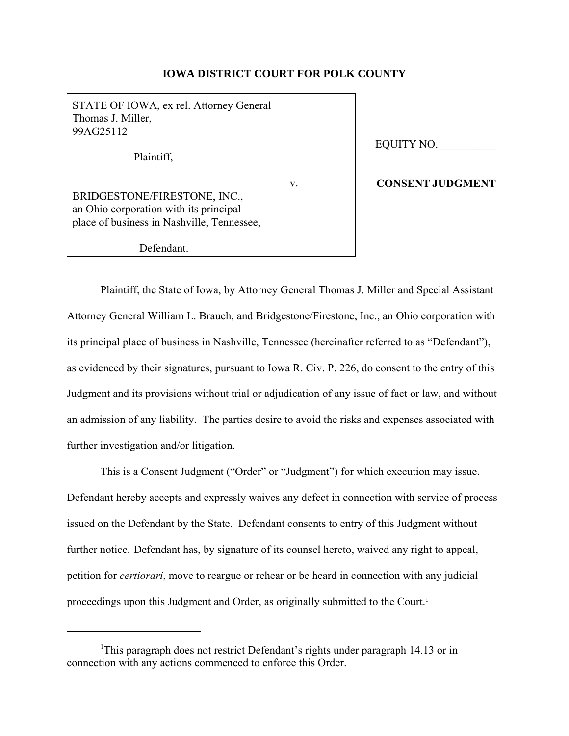# **IOWA DISTRICT COURT FOR POLK COUNTY**

STATE OF IOWA, ex rel. Attorney General Thomas J. Miller, 99AG25112 Plaintiff, v. BRIDGESTONE/FIRESTONE, INC., an Ohio corporation with its principal place of business in Nashville, Tennessee,

Defendant.

EQUITY NO. \_\_\_\_\_\_\_\_\_\_

#### **CONSENT JUDGMENT**

Plaintiff, the State of Iowa, by Attorney General Thomas J. Miller and Special Assistant Attorney General William L. Brauch, and Bridgestone/Firestone, Inc., an Ohio corporation with its principal place of business in Nashville, Tennessee (hereinafter referred to as "Defendant"), as evidenced by their signatures, pursuant to Iowa R. Civ. P. 226, do consent to the entry of this Judgment and its provisions without trial or adjudication of any issue of fact or law, and without an admission of any liability. The parties desire to avoid the risks and expenses associated with further investigation and/or litigation.

This is a Consent Judgment ("Order" or "Judgment") for which execution may issue. Defendant hereby accepts and expressly waives any defect in connection with service of process issued on the Defendant by the State. Defendant consents to entry of this Judgment without further notice. Defendant has, by signature of its counsel hereto, waived any right to appeal, petition for *certiorari*, move to reargue or rehear or be heard in connection with any judicial proceedings upon this Judgment and Order, as originally submitted to the Court.<sup>1</sup>

<sup>&</sup>lt;sup>1</sup>This paragraph does not restrict Defendant's rights under paragraph 14.13 or in connection with any actions commenced to enforce this Order.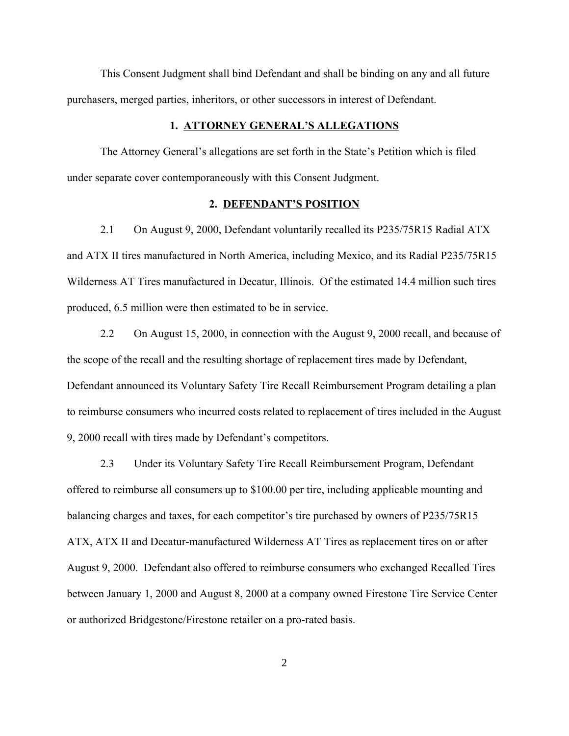This Consent Judgment shall bind Defendant and shall be binding on any and all future purchasers, merged parties, inheritors, or other successors in interest of Defendant.

#### **1. ATTORNEY GENERAL'S ALLEGATIONS**

The Attorney General's allegations are set forth in the State's Petition which is filed under separate cover contemporaneously with this Consent Judgment.

#### **2. DEFENDANT'S POSITION**

2.1 On August 9, 2000, Defendant voluntarily recalled its P235/75R15 Radial ATX and ATX II tires manufactured in North America, including Mexico, and its Radial P235/75R15 Wilderness AT Tires manufactured in Decatur, Illinois. Of the estimated 14.4 million such tires produced, 6.5 million were then estimated to be in service.

2.2 On August 15, 2000, in connection with the August 9, 2000 recall, and because of the scope of the recall and the resulting shortage of replacement tires made by Defendant, Defendant announced its Voluntary Safety Tire Recall Reimbursement Program detailing a plan to reimburse consumers who incurred costs related to replacement of tires included in the August 9, 2000 recall with tires made by Defendant's competitors.

2.3 Under its Voluntary Safety Tire Recall Reimbursement Program, Defendant offered to reimburse all consumers up to \$100.00 per tire, including applicable mounting and balancing charges and taxes, for each competitor's tire purchased by owners of P235/75R15 ATX, ATX II and Decatur-manufactured Wilderness AT Tires as replacement tires on or after August 9, 2000. Defendant also offered to reimburse consumers who exchanged Recalled Tires between January 1, 2000 and August 8, 2000 at a company owned Firestone Tire Service Center or authorized Bridgestone/Firestone retailer on a pro-rated basis.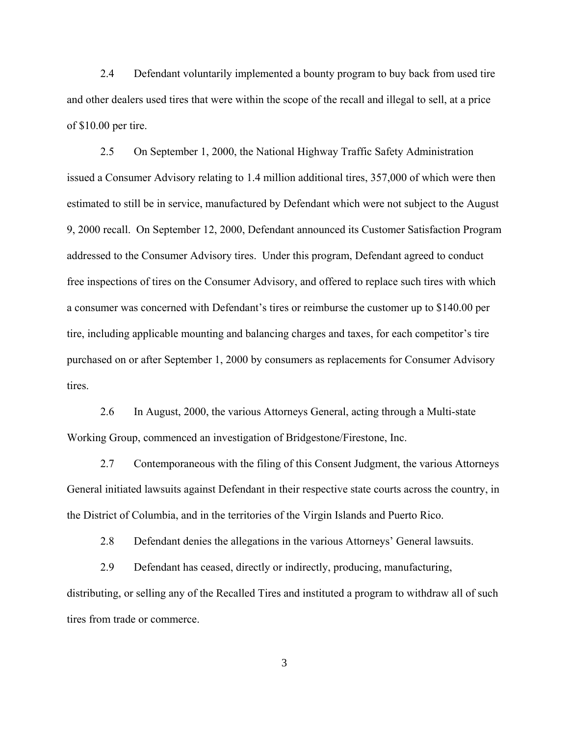2.4 Defendant voluntarily implemented a bounty program to buy back from used tire and other dealers used tires that were within the scope of the recall and illegal to sell, at a price of \$10.00 per tire.

2.5 On September 1, 2000, the National Highway Traffic Safety Administration issued a Consumer Advisory relating to 1.4 million additional tires, 357,000 of which were then estimated to still be in service, manufactured by Defendant which were not subject to the August 9, 2000 recall. On September 12, 2000, Defendant announced its Customer Satisfaction Program addressed to the Consumer Advisory tires. Under this program, Defendant agreed to conduct free inspections of tires on the Consumer Advisory, and offered to replace such tires with which a consumer was concerned with Defendant's tires or reimburse the customer up to \$140.00 per tire, including applicable mounting and balancing charges and taxes, for each competitor's tire purchased on or after September 1, 2000 by consumers as replacements for Consumer Advisory tires.

2.6 In August, 2000, the various Attorneys General, acting through a Multi-state Working Group, commenced an investigation of Bridgestone/Firestone, Inc.

2.7 Contemporaneous with the filing of this Consent Judgment, the various Attorneys General initiated lawsuits against Defendant in their respective state courts across the country, in the District of Columbia, and in the territories of the Virgin Islands and Puerto Rico.

2.8 Defendant denies the allegations in the various Attorneys' General lawsuits.

2.9 Defendant has ceased, directly or indirectly, producing, manufacturing, distributing, or selling any of the Recalled Tires and instituted a program to withdraw all of such tires from trade or commerce.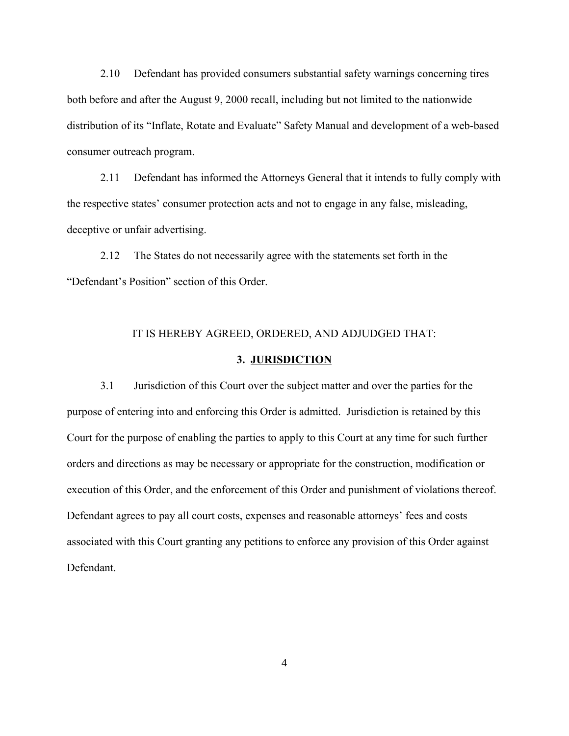2.10 Defendant has provided consumers substantial safety warnings concerning tires both before and after the August 9, 2000 recall, including but not limited to the nationwide distribution of its "Inflate, Rotate and Evaluate" Safety Manual and development of a web-based consumer outreach program.

2.11 Defendant has informed the Attorneys General that it intends to fully comply with the respective states' consumer protection acts and not to engage in any false, misleading, deceptive or unfair advertising.

2.12 The States do not necessarily agree with the statements set forth in the "Defendant's Position" section of this Order.

# IT IS HEREBY AGREED, ORDERED, AND ADJUDGED THAT:

#### **3. JURISDICTION**

3.1 Jurisdiction of this Court over the subject matter and over the parties for the purpose of entering into and enforcing this Order is admitted. Jurisdiction is retained by this Court for the purpose of enabling the parties to apply to this Court at any time for such further orders and directions as may be necessary or appropriate for the construction, modification or execution of this Order, and the enforcement of this Order and punishment of violations thereof. Defendant agrees to pay all court costs, expenses and reasonable attorneys' fees and costs associated with this Court granting any petitions to enforce any provision of this Order against Defendant.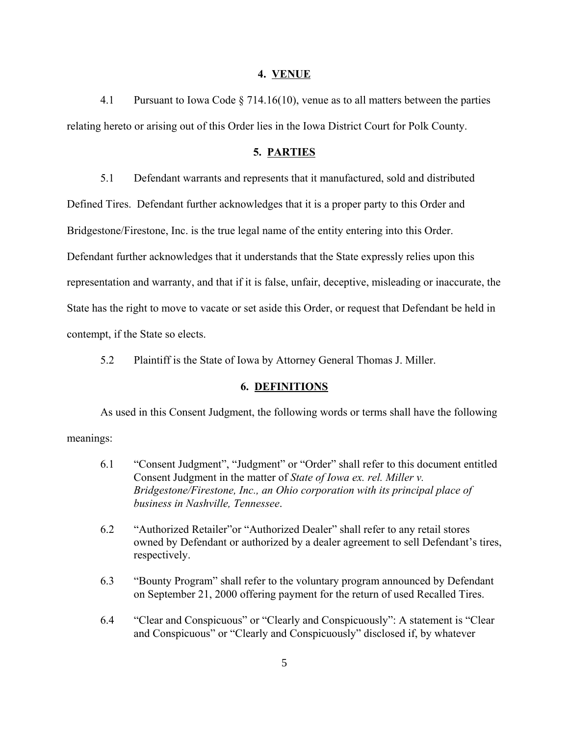#### **4. VENUE**

4.1 Pursuant to Iowa Code § 714.16(10), venue as to all matters between the parties relating hereto or arising out of this Order lies in the Iowa District Court for Polk County.

#### **5. PARTIES**

5.1 Defendant warrants and represents that it manufactured, sold and distributed

Defined Tires. Defendant further acknowledges that it is a proper party to this Order and

Bridgestone/Firestone, Inc. is the true legal name of the entity entering into this Order.

Defendant further acknowledges that it understands that the State expressly relies upon this

representation and warranty, and that if it is false, unfair, deceptive, misleading or inaccurate, the

State has the right to move to vacate or set aside this Order, or request that Defendant be held in

contempt, if the State so elects.

5.2 Plaintiff is the State of Iowa by Attorney General Thomas J. Miller.

# **6. DEFINITIONS**

As used in this Consent Judgment, the following words or terms shall have the following meanings:

- 6.1 "Consent Judgment", "Judgment" or "Order" shall refer to this document entitled Consent Judgment in the matter of *State of Iowa ex. rel. Miller v. Bridgestone/Firestone, Inc., an Ohio corporation with its principal place of business in Nashville, Tennessee*.
- 6.2 "Authorized Retailer"or "Authorized Dealer" shall refer to any retail stores owned by Defendant or authorized by a dealer agreement to sell Defendant's tires, respectively.
- 6.3 "Bounty Program" shall refer to the voluntary program announced by Defendant on September 21, 2000 offering payment for the return of used Recalled Tires.
- 6.4 "Clear and Conspicuous" or "Clearly and Conspicuously": A statement is "Clear and Conspicuous" or "Clearly and Conspicuously" disclosed if, by whatever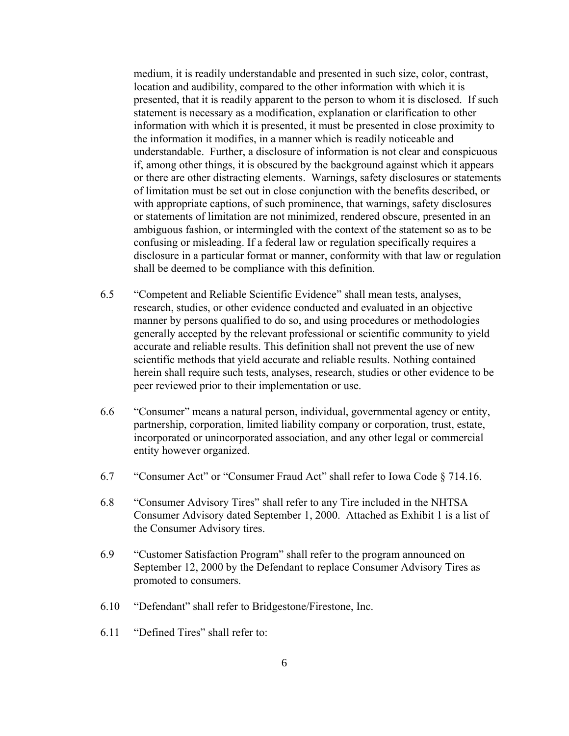medium, it is readily understandable and presented in such size, color, contrast, location and audibility, compared to the other information with which it is presented, that it is readily apparent to the person to whom it is disclosed. If such statement is necessary as a modification, explanation or clarification to other information with which it is presented, it must be presented in close proximity to the information it modifies, in a manner which is readily noticeable and understandable. Further, a disclosure of information is not clear and conspicuous if, among other things, it is obscured by the background against which it appears or there are other distracting elements. Warnings, safety disclosures or statements of limitation must be set out in close conjunction with the benefits described, or with appropriate captions, of such prominence, that warnings, safety disclosures or statements of limitation are not minimized, rendered obscure, presented in an ambiguous fashion, or intermingled with the context of the statement so as to be confusing or misleading. If a federal law or regulation specifically requires a disclosure in a particular format or manner, conformity with that law or regulation shall be deemed to be compliance with this definition.

- 6.5 "Competent and Reliable Scientific Evidence" shall mean tests, analyses, research, studies, or other evidence conducted and evaluated in an objective manner by persons qualified to do so, and using procedures or methodologies generally accepted by the relevant professional or scientific community to yield accurate and reliable results. This definition shall not prevent the use of new scientific methods that yield accurate and reliable results. Nothing contained herein shall require such tests, analyses, research, studies or other evidence to be peer reviewed prior to their implementation or use.
- 6.6 "Consumer" means a natural person, individual, governmental agency or entity, partnership, corporation, limited liability company or corporation, trust, estate, incorporated or unincorporated association, and any other legal or commercial entity however organized.
- 6.7 "Consumer Act" or "Consumer Fraud Act" shall refer to Iowa Code § 714.16.
- 6.8 "Consumer Advisory Tires" shall refer to any Tire included in the NHTSA Consumer Advisory dated September 1, 2000. Attached as Exhibit 1 is a list of the Consumer Advisory tires.
- 6.9 "Customer Satisfaction Program" shall refer to the program announced on September 12, 2000 by the Defendant to replace Consumer Advisory Tires as promoted to consumers.
- 6.10 "Defendant" shall refer to Bridgestone/Firestone, Inc.
- 6.11 "Defined Tires" shall refer to: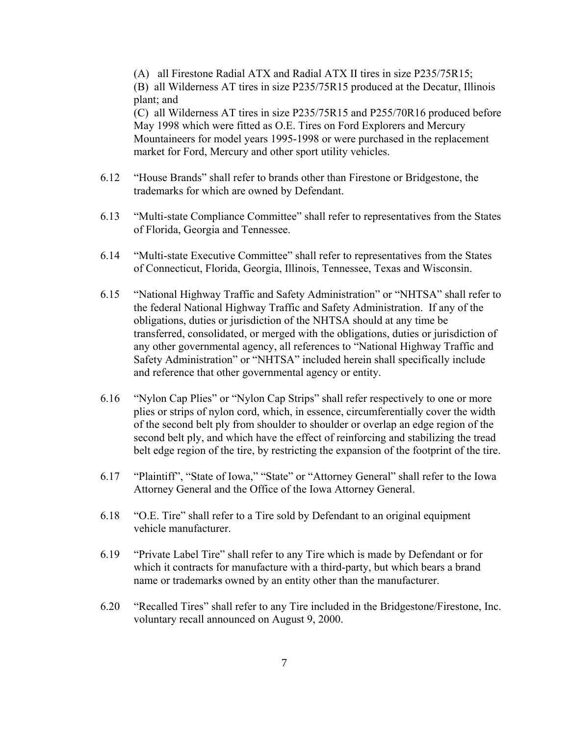(A) all Firestone Radial ATX and Radial ATX II tires in size P235/75R15; (B) all Wilderness AT tires in size P235/75R15 produced at the Decatur, Illinois plant; and

(C) all Wilderness AT tires in size P235/75R15 and P255/70R16 produced before May 1998 which were fitted as O.E. Tires on Ford Explorers and Mercury Mountaineers for model years 1995-1998 or were purchased in the replacement market for Ford, Mercury and other sport utility vehicles.

- 6.12 "House Brands" shall refer to brands other than Firestone or Bridgestone, the trademarks for which are owned by Defendant.
- 6.13 "Multi-state Compliance Committee" shall refer to representatives from the States of Florida, Georgia and Tennessee.
- 6.14 "Multi-state Executive Committee" shall refer to representatives from the States of Connecticut, Florida, Georgia, Illinois, Tennessee, Texas and Wisconsin.
- 6.15 "National Highway Traffic and Safety Administration" or "NHTSA" shall refer to the federal National Highway Traffic and Safety Administration. If any of the obligations, duties or jurisdiction of the NHTSA should at any time be transferred, consolidated, or merged with the obligations, duties or jurisdiction of any other governmental agency, all references to "National Highway Traffic and Safety Administration" or "NHTSA" included herein shall specifically include and reference that other governmental agency or entity.
- 6.16 "Nylon Cap Plies" or "Nylon Cap Strips" shall refer respectively to one or more plies or strips of nylon cord, which, in essence, circumferentially cover the width of the second belt ply from shoulder to shoulder or overlap an edge region of the second belt ply, and which have the effect of reinforcing and stabilizing the tread belt edge region of the tire, by restricting the expansion of the footprint of the tire.
- 6.17 "Plaintiff", "State of Iowa," "State" or "Attorney General" shall refer to the Iowa Attorney General and the Office of the Iowa Attorney General.
- 6.18 "O.E. Tire" shall refer to a Tire sold by Defendant to an original equipment vehicle manufacturer.
- 6.19 "Private Label Tire" shall refer to any Tire which is made by Defendant or for which it contracts for manufacture with a third-party, but which bears a brand name or trademarks owned by an entity other than the manufacturer.
- 6.20 "Recalled Tires" shall refer to any Tire included in the Bridgestone/Firestone, Inc. voluntary recall announced on August 9, 2000.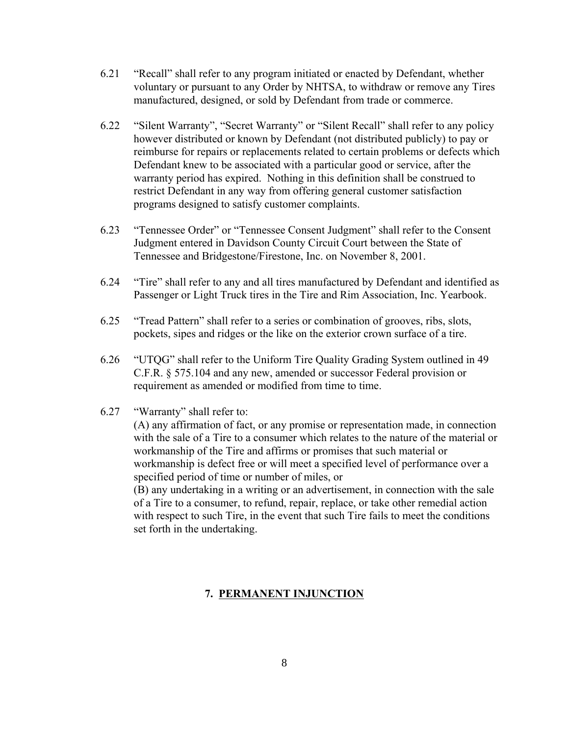- 6.21 "Recall" shall refer to any program initiated or enacted by Defendant, whether voluntary or pursuant to any Order by NHTSA, to withdraw or remove any Tires manufactured, designed, or sold by Defendant from trade or commerce.
- 6.22 "Silent Warranty", "Secret Warranty" or "Silent Recall" shall refer to any policy however distributed or known by Defendant (not distributed publicly) to pay or reimburse for repairs or replacements related to certain problems or defects which Defendant knew to be associated with a particular good or service, after the warranty period has expired. Nothing in this definition shall be construed to restrict Defendant in any way from offering general customer satisfaction programs designed to satisfy customer complaints.
- 6.23 "Tennessee Order" or "Tennessee Consent Judgment" shall refer to the Consent Judgment entered in Davidson County Circuit Court between the State of Tennessee and Bridgestone/Firestone, Inc. on November 8, 2001.
- 6.24 "Tire" shall refer to any and all tires manufactured by Defendant and identified as Passenger or Light Truck tires in the Tire and Rim Association, Inc. Yearbook.
- 6.25 "Tread Pattern" shall refer to a series or combination of grooves, ribs, slots, pockets, sipes and ridges or the like on the exterior crown surface of a tire.
- 6.26 "UTQG" shall refer to the Uniform Tire Quality Grading System outlined in 49 C.F.R. § 575.104 and any new, amended or successor Federal provision or requirement as amended or modified from time to time.
- 6.27 "Warranty" shall refer to:

(A) any affirmation of fact, or any promise or representation made, in connection with the sale of a Tire to a consumer which relates to the nature of the material or workmanship of the Tire and affirms or promises that such material or workmanship is defect free or will meet a specified level of performance over a specified period of time or number of miles, or

(B) any undertaking in a writing or an advertisement, in connection with the sale of a Tire to a consumer, to refund, repair, replace, or take other remedial action with respect to such Tire, in the event that such Tire fails to meet the conditions set forth in the undertaking.

# **7. PERMANENT INJUNCTION**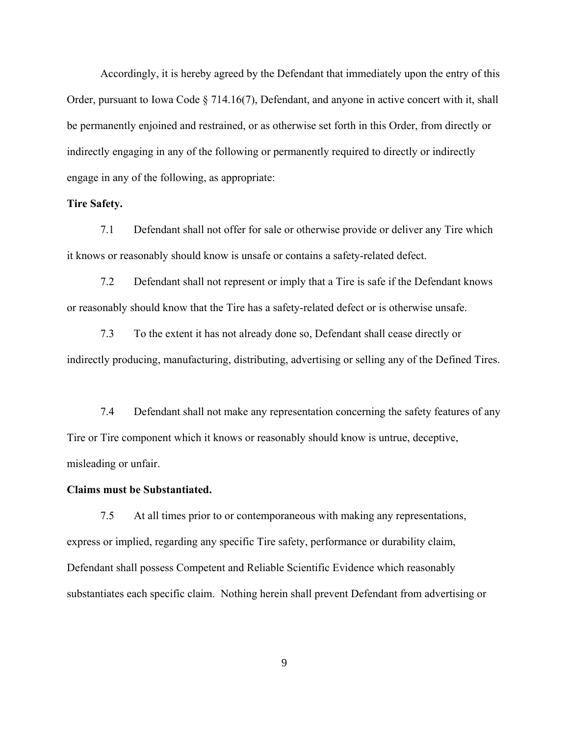Accordingly, it is hereby agreed by the Defendant that immediately upon the entry of this Order, pursuant to Iowa Code § 714.16(7), Defendant, and anyone in active concert with it, shall be permanently enjoined and restrained, or as otherwise set forth in this Order, from directly or indirectly engaging in any of the following or permanently required to directly or indirectly engage in any of the following, as appropriate:

### **Tire Safety.**

7.1 Defendant shall not offer for sale or otherwise provide or deliver any Tire which it knows or reasonably should know is unsafe or contains a safety-related defect.

7.2 Defendant shall not represent or imply that a Tire is safe if the Defendant knows or reasonably should know that the Tire has a safety-related defect or is otherwise unsafe.

7.3 To the extent it has not already done so, Defendant shall cease directly or indirectly producing, manufacturing, distributing, advertising or selling any of the Defined Tires.

7.4 Defendant shall not make any representation concerning the safety features of any Tire or Tire component which it knows or reasonably should know is untrue, deceptive, misleading or unfair.

#### **Claims must be Substantiated.**

7.5 At all times prior to or contemporaneous with making any representations, express or implied, regarding any specific Tire safety, performance or durability claim, Defendant shall possess Competent and Reliable Scientific Evidence which reasonably substantiates each specific claim. Nothing herein shall prevent Defendant from advertising or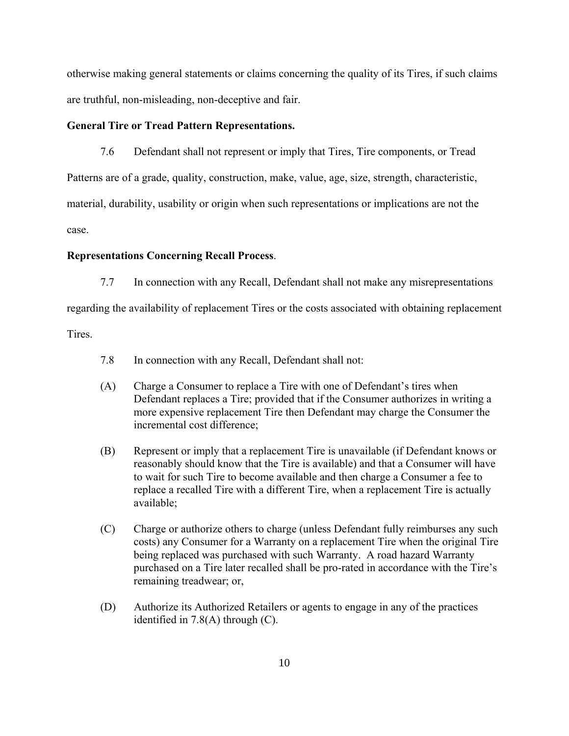otherwise making general statements or claims concerning the quality of its Tires, if such claims are truthful, non-misleading, non-deceptive and fair.

# **General Tire or Tread Pattern Representations.**

7.6 Defendant shall not represent or imply that Tires, Tire components, or Tread Patterns are of a grade, quality, construction, make, value, age, size, strength, characteristic, material, durability, usability or origin when such representations or implications are not the case.

# **Representations Concerning Recall Process**.

7.7 In connection with any Recall, Defendant shall not make any misrepresentations

regarding the availability of replacement Tires or the costs associated with obtaining replacement

Tires.

- 7.8 In connection with any Recall, Defendant shall not:
- (A) Charge a Consumer to replace a Tire with one of Defendant's tires when Defendant replaces a Tire; provided that if the Consumer authorizes in writing a more expensive replacement Tire then Defendant may charge the Consumer the incremental cost difference;
- (B) Represent or imply that a replacement Tire is unavailable (if Defendant knows or reasonably should know that the Tire is available) and that a Consumer will have to wait for such Tire to become available and then charge a Consumer a fee to replace a recalled Tire with a different Tire, when a replacement Tire is actually available;
- (C) Charge or authorize others to charge (unless Defendant fully reimburses any such costs) any Consumer for a Warranty on a replacement Tire when the original Tire being replaced was purchased with such Warranty. A road hazard Warranty purchased on a Tire later recalled shall be pro-rated in accordance with the Tire's remaining treadwear; or,
- (D) Authorize its Authorized Retailers or agents to engage in any of the practices identified in 7.8(A) through (C).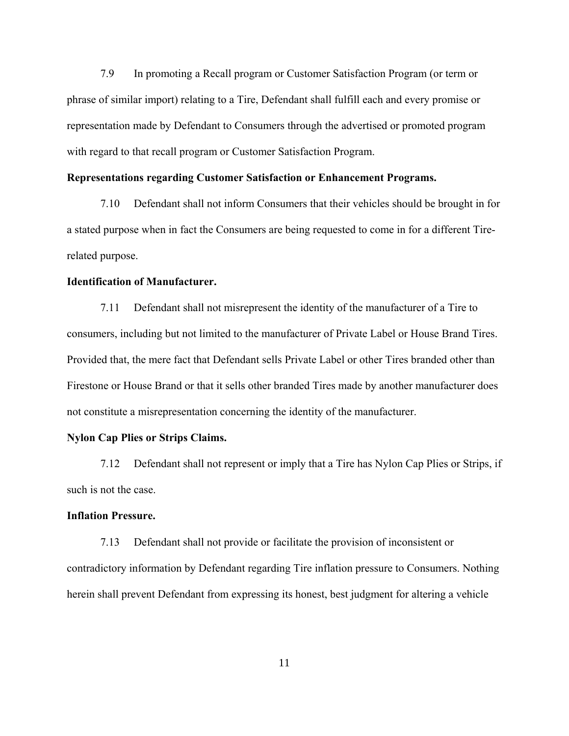7.9 In promoting a Recall program or Customer Satisfaction Program (or term or phrase of similar import) relating to a Tire, Defendant shall fulfill each and every promise or representation made by Defendant to Consumers through the advertised or promoted program with regard to that recall program or Customer Satisfaction Program.

#### **Representations regarding Customer Satisfaction or Enhancement Programs.**

7.10 Defendant shall not inform Consumers that their vehicles should be brought in for a stated purpose when in fact the Consumers are being requested to come in for a different Tirerelated purpose.

# **Identification of Manufacturer.**

7.11 Defendant shall not misrepresent the identity of the manufacturer of a Tire to consumers, including but not limited to the manufacturer of Private Label or House Brand Tires. Provided that, the mere fact that Defendant sells Private Label or other Tires branded other than Firestone or House Brand or that it sells other branded Tires made by another manufacturer does not constitute a misrepresentation concerning the identity of the manufacturer.

#### **Nylon Cap Plies or Strips Claims.**

7.12 Defendant shall not represent or imply that a Tire has Nylon Cap Plies or Strips, if such is not the case.

# **Inflation Pressure.**

7.13 Defendant shall not provide or facilitate the provision of inconsistent or contradictory information by Defendant regarding Tire inflation pressure to Consumers. Nothing herein shall prevent Defendant from expressing its honest, best judgment for altering a vehicle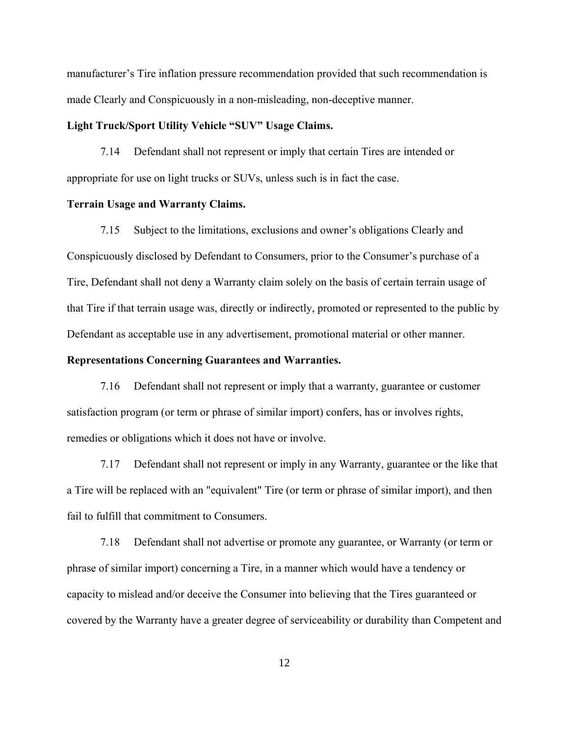manufacturer's Tire inflation pressure recommendation provided that such recommendation is made Clearly and Conspicuously in a non-misleading, non-deceptive manner.

#### **Light Truck/Sport Utility Vehicle "SUV" Usage Claims.**

7.14 Defendant shall not represent or imply that certain Tires are intended or appropriate for use on light trucks or SUVs, unless such is in fact the case.

#### **Terrain Usage and Warranty Claims.**

7.15 Subject to the limitations, exclusions and owner's obligations Clearly and Conspicuously disclosed by Defendant to Consumers, prior to the Consumer's purchase of a Tire, Defendant shall not deny a Warranty claim solely on the basis of certain terrain usage of that Tire if that terrain usage was, directly or indirectly, promoted or represented to the public by Defendant as acceptable use in any advertisement, promotional material or other manner.

# **Representations Concerning Guarantees and Warranties.**

7.16 Defendant shall not represent or imply that a warranty, guarantee or customer satisfaction program (or term or phrase of similar import) confers, has or involves rights, remedies or obligations which it does not have or involve.

7.17 Defendant shall not represent or imply in any Warranty, guarantee or the like that a Tire will be replaced with an "equivalent" Tire (or term or phrase of similar import), and then fail to fulfill that commitment to Consumers.

7.18 Defendant shall not advertise or promote any guarantee, or Warranty (or term or phrase of similar import) concerning a Tire, in a manner which would have a tendency or capacity to mislead and/or deceive the Consumer into believing that the Tires guaranteed or covered by the Warranty have a greater degree of serviceability or durability than Competent and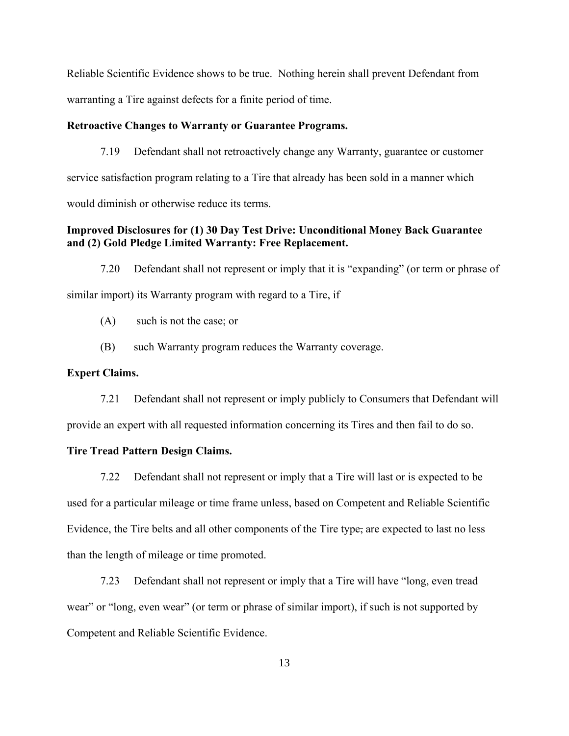Reliable Scientific Evidence shows to be true. Nothing herein shall prevent Defendant from warranting a Tire against defects for a finite period of time.

#### **Retroactive Changes to Warranty or Guarantee Programs.**

7.19 Defendant shall not retroactively change any Warranty, guarantee or customer service satisfaction program relating to a Tire that already has been sold in a manner which would diminish or otherwise reduce its terms.

# **Improved Disclosures for (1) 30 Day Test Drive: Unconditional Money Back Guarantee and (2) Gold Pledge Limited Warranty: Free Replacement.**

7.20 Defendant shall not represent or imply that it is "expanding" (or term or phrase of similar import) its Warranty program with regard to a Tire, if

(A) such is not the case; or

(B) such Warranty program reduces the Warranty coverage.

# **Expert Claims.**

7.21 Defendant shall not represent or imply publicly to Consumers that Defendant will provide an expert with all requested information concerning its Tires and then fail to do so.

### **Tire Tread Pattern Design Claims.**

7.22 Defendant shall not represent or imply that a Tire will last or is expected to be used for a particular mileage or time frame unless, based on Competent and Reliable Scientific Evidence, the Tire belts and all other components of the Tire type, are expected to last no less than the length of mileage or time promoted.

7.23 Defendant shall not represent or imply that a Tire will have "long, even tread wear" or "long, even wear" (or term or phrase of similar import), if such is not supported by Competent and Reliable Scientific Evidence.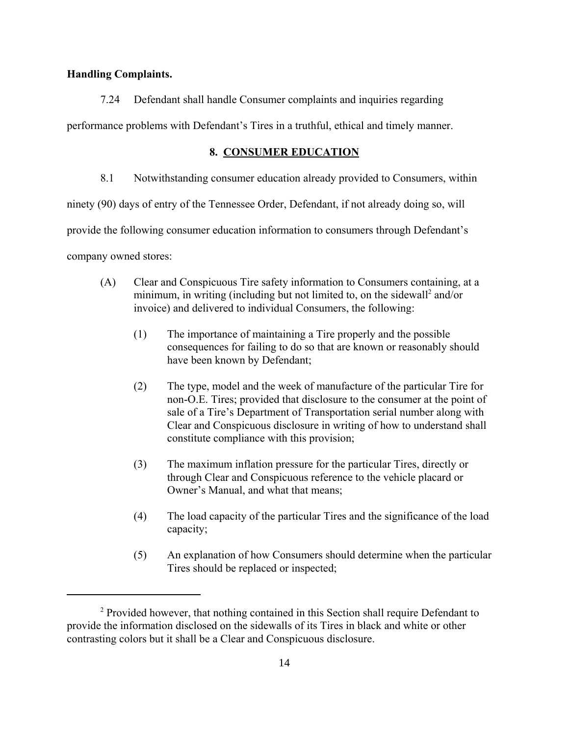# **Handling Complaints.**

# 7.24 Defendant shall handle Consumer complaints and inquiries regarding

performance problems with Defendant's Tires in a truthful, ethical and timely manner.

# **8. CONSUMER EDUCATION**

8.1 Notwithstanding consumer education already provided to Consumers, within

ninety (90) days of entry of the Tennessee Order, Defendant, if not already doing so, will

provide the following consumer education information to consumers through Defendant's

company owned stores:

- (A) Clear and Conspicuous Tire safety information to Consumers containing, at a minimum, in writing (including but not limited to, on the sidewall<sup>2</sup> and/or invoice) and delivered to individual Consumers, the following:
	- (1) The importance of maintaining a Tire properly and the possible consequences for failing to do so that are known or reasonably should have been known by Defendant;
	- (2) The type, model and the week of manufacture of the particular Tire for non-O.E. Tires; provided that disclosure to the consumer at the point of sale of a Tire's Department of Transportation serial number along with Clear and Conspicuous disclosure in writing of how to understand shall constitute compliance with this provision;
	- (3) The maximum inflation pressure for the particular Tires, directly or through Clear and Conspicuous reference to the vehicle placard or Owner's Manual, and what that means;
	- (4) The load capacity of the particular Tires and the significance of the load capacity;
	- (5) An explanation of how Consumers should determine when the particular Tires should be replaced or inspected;

<sup>&</sup>lt;sup>2</sup> Provided however, that nothing contained in this Section shall require Defendant to provide the information disclosed on the sidewalls of its Tires in black and white or other contrasting colors but it shall be a Clear and Conspicuous disclosure.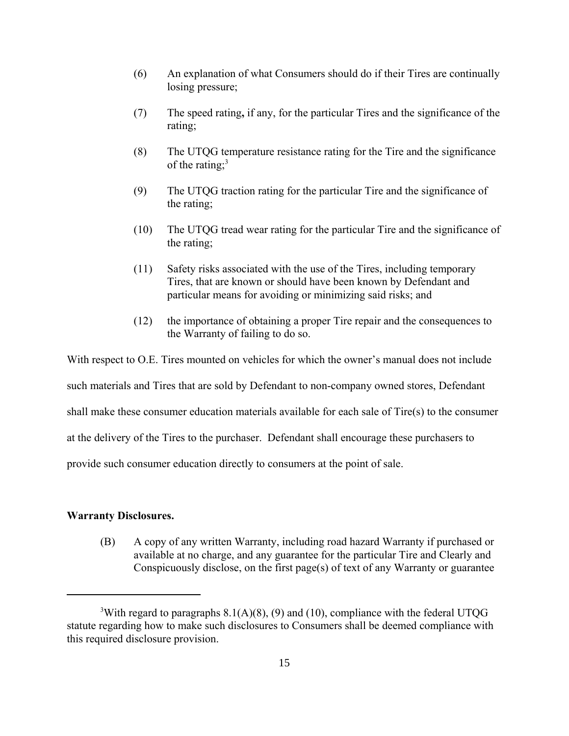- (6) An explanation of what Consumers should do if their Tires are continually losing pressure;
- (7) The speed rating**,** if any, for the particular Tires and the significance of the rating;
- (8) The UTQG temperature resistance rating for the Tire and the significance of the rating: $3$
- (9) The UTQG traction rating for the particular Tire and the significance of the rating;
- (10) The UTQG tread wear rating for the particular Tire and the significance of the rating;
- (11) Safety risks associated with the use of the Tires, including temporary Tires, that are known or should have been known by Defendant and particular means for avoiding or minimizing said risks; and
- (12) the importance of obtaining a proper Tire repair and the consequences to the Warranty of failing to do so.

With respect to O.E. Tires mounted on vehicles for which the owner's manual does not include

such materials and Tires that are sold by Defendant to non-company owned stores, Defendant

shall make these consumer education materials available for each sale of Tire(s) to the consumer

at the delivery of the Tires to the purchaser. Defendant shall encourage these purchasers to

provide such consumer education directly to consumers at the point of sale.

# **Warranty Disclosures.**

(B) A copy of any written Warranty, including road hazard Warranty if purchased or available at no charge, and any guarantee for the particular Tire and Clearly and Conspicuously disclose, on the first page(s) of text of any Warranty or guarantee

<sup>&</sup>lt;sup>3</sup>With regard to paragraphs  $8.1(A)(8)$ , (9) and (10), compliance with the federal UTQG statute regarding how to make such disclosures to Consumers shall be deemed compliance with this required disclosure provision.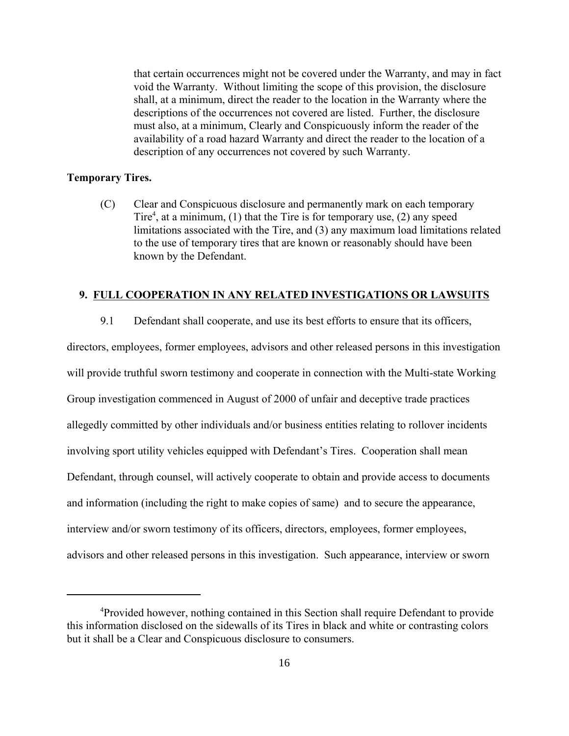that certain occurrences might not be covered under the Warranty, and may in fact void the Warranty. Without limiting the scope of this provision, the disclosure shall, at a minimum, direct the reader to the location in the Warranty where the descriptions of the occurrences not covered are listed. Further, the disclosure must also, at a minimum, Clearly and Conspicuously inform the reader of the availability of a road hazard Warranty and direct the reader to the location of a description of any occurrences not covered by such Warranty.

# **Temporary Tires.**

(C) Clear and Conspicuous disclosure and permanently mark on each temporary Tire<sup>4</sup>, at a minimum, (1) that the Tire is for temporary use, (2) any speed limitations associated with the Tire, and (3) any maximum load limitations related to the use of temporary tires that are known or reasonably should have been known by the Defendant.

# **9. FULL COOPERATION IN ANY RELATED INVESTIGATIONS OR LAWSUITS**

9.1 Defendant shall cooperate, and use its best efforts to ensure that its officers,

directors, employees, former employees, advisors and other released persons in this investigation will provide truthful sworn testimony and cooperate in connection with the Multi-state Working Group investigation commenced in August of 2000 of unfair and deceptive trade practices allegedly committed by other individuals and/or business entities relating to rollover incidents involving sport utility vehicles equipped with Defendant's Tires. Cooperation shall mean Defendant, through counsel, will actively cooperate to obtain and provide access to documents and information (including the right to make copies of same) and to secure the appearance, interview and/or sworn testimony of its officers, directors, employees, former employees, advisors and other released persons in this investigation. Such appearance, interview or sworn

<sup>&</sup>lt;sup>4</sup>Provided however, nothing contained in this Section shall require Defendant to provide this information disclosed on the sidewalls of its Tires in black and white or contrasting colors but it shall be a Clear and Conspicuous disclosure to consumers.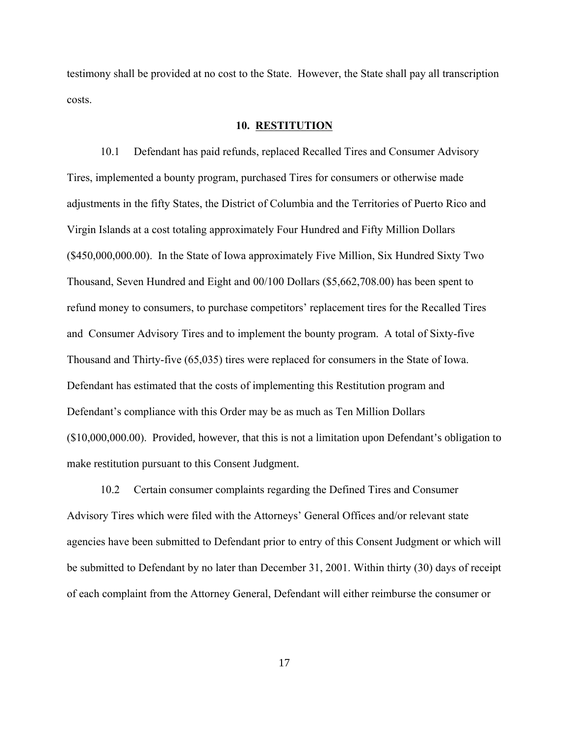testimony shall be provided at no cost to the State. However, the State shall pay all transcription costs.

#### **10. RESTITUTION**

10.1 Defendant has paid refunds, replaced Recalled Tires and Consumer Advisory Tires, implemented a bounty program, purchased Tires for consumers or otherwise made adjustments in the fifty States, the District of Columbia and the Territories of Puerto Rico and Virgin Islands at a cost totaling approximately Four Hundred and Fifty Million Dollars (\$450,000,000.00). In the State of Iowa approximately Five Million, Six Hundred Sixty Two Thousand, Seven Hundred and Eight and 00/100 Dollars (\$5,662,708.00) has been spent to refund money to consumers, to purchase competitors' replacement tires for the Recalled Tires and Consumer Advisory Tires and to implement the bounty program. A total of Sixty-five Thousand and Thirty-five (65,035) tires were replaced for consumers in the State of Iowa. Defendant has estimated that the costs of implementing this Restitution program and Defendant's compliance with this Order may be as much as Ten Million Dollars (\$10,000,000.00). Provided, however, that this is not a limitation upon Defendant's obligation to make restitution pursuant to this Consent Judgment.

10.2 Certain consumer complaints regarding the Defined Tires and Consumer Advisory Tires which were filed with the Attorneys' General Offices and/or relevant state agencies have been submitted to Defendant prior to entry of this Consent Judgment or which will be submitted to Defendant by no later than December 31, 2001. Within thirty (30) days of receipt of each complaint from the Attorney General, Defendant will either reimburse the consumer or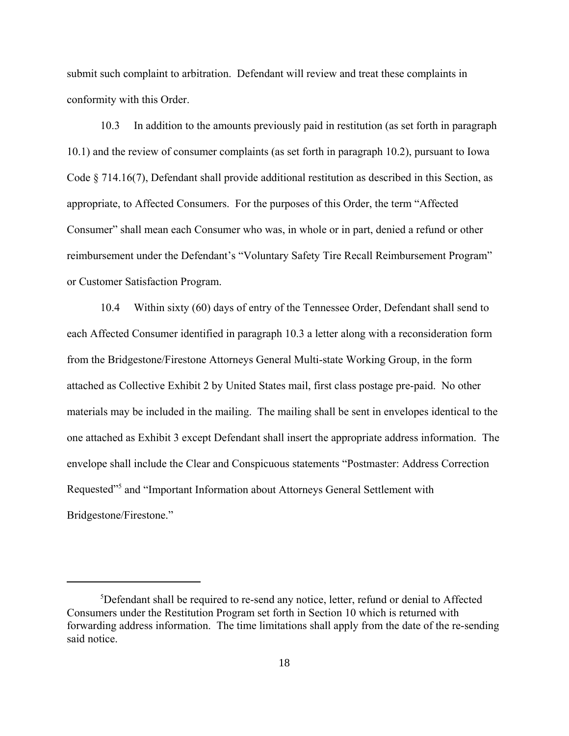submit such complaint to arbitration. Defendant will review and treat these complaints in conformity with this Order.

10.3 In addition to the amounts previously paid in restitution (as set forth in paragraph 10.1) and the review of consumer complaints (as set forth in paragraph 10.2), pursuant to Iowa Code § 714.16(7), Defendant shall provide additional restitution as described in this Section, as appropriate, to Affected Consumers. For the purposes of this Order, the term "Affected Consumer" shall mean each Consumer who was, in whole or in part, denied a refund or other reimbursement under the Defendant's "Voluntary Safety Tire Recall Reimbursement Program" or Customer Satisfaction Program.

10.4 Within sixty (60) days of entry of the Tennessee Order, Defendant shall send to each Affected Consumer identified in paragraph 10.3 a letter along with a reconsideration form from the Bridgestone/Firestone Attorneys General Multi-state Working Group, in the form attached as Collective Exhibit 2 by United States mail, first class postage pre-paid. No other materials may be included in the mailing. The mailing shall be sent in envelopes identical to the one attached as Exhibit 3 except Defendant shall insert the appropriate address information. The envelope shall include the Clear and Conspicuous statements "Postmaster: Address Correction Requested"<sup>5</sup> and "Important Information about Attorneys General Settlement with Bridgestone/Firestone."

<sup>&</sup>lt;sup>5</sup>Defendant shall be required to re-send any notice, letter, refund or denial to Affected Consumers under the Restitution Program set forth in Section 10 which is returned with forwarding address information. The time limitations shall apply from the date of the re-sending said notice.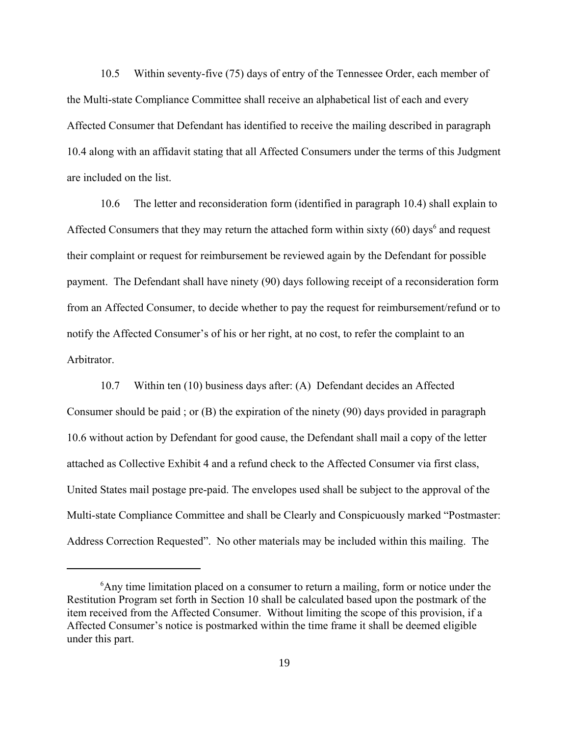10.5 Within seventy-five (75) days of entry of the Tennessee Order, each member of the Multi-state Compliance Committee shall receive an alphabetical list of each and every Affected Consumer that Defendant has identified to receive the mailing described in paragraph 10.4 along with an affidavit stating that all Affected Consumers under the terms of this Judgment are included on the list.

10.6 The letter and reconsideration form (identified in paragraph 10.4) shall explain to Affected Consumers that they may return the attached form within sixty  $(60)$  days<sup>6</sup> and request their complaint or request for reimbursement be reviewed again by the Defendant for possible payment. The Defendant shall have ninety (90) days following receipt of a reconsideration form from an Affected Consumer, to decide whether to pay the request for reimbursement/refund or to notify the Affected Consumer's of his or her right, at no cost, to refer the complaint to an **Arbitrator** 

10.7 Within ten (10) business days after: (A) Defendant decides an Affected Consumer should be paid ; or (B) the expiration of the ninety (90) days provided in paragraph 10.6 without action by Defendant for good cause, the Defendant shall mail a copy of the letter attached as Collective Exhibit 4 and a refund check to the Affected Consumer via first class, United States mail postage pre-paid. The envelopes used shall be subject to the approval of the Multi-state Compliance Committee and shall be Clearly and Conspicuously marked "Postmaster: Address Correction Requested". No other materials may be included within this mailing. The

<sup>&</sup>lt;sup>6</sup>Any time limitation placed on a consumer to return a mailing, form or notice under the Restitution Program set forth in Section 10 shall be calculated based upon the postmark of the item received from the Affected Consumer. Without limiting the scope of this provision, if a Affected Consumer's notice is postmarked within the time frame it shall be deemed eligible under this part.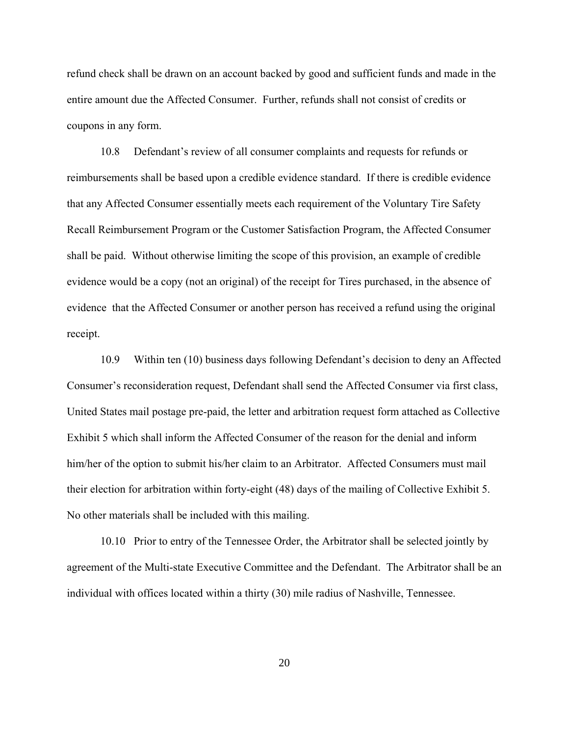refund check shall be drawn on an account backed by good and sufficient funds and made in the entire amount due the Affected Consumer. Further, refunds shall not consist of credits or coupons in any form.

10.8 Defendant's review of all consumer complaints and requests for refunds or reimbursements shall be based upon a credible evidence standard. If there is credible evidence that any Affected Consumer essentially meets each requirement of the Voluntary Tire Safety Recall Reimbursement Program or the Customer Satisfaction Program, the Affected Consumer shall be paid. Without otherwise limiting the scope of this provision, an example of credible evidence would be a copy (not an original) of the receipt for Tires purchased, in the absence of evidence that the Affected Consumer or another person has received a refund using the original receipt.

10.9 Within ten (10) business days following Defendant's decision to deny an Affected Consumer's reconsideration request, Defendant shall send the Affected Consumer via first class, United States mail postage pre-paid, the letter and arbitration request form attached as Collective Exhibit 5 which shall inform the Affected Consumer of the reason for the denial and inform him/her of the option to submit his/her claim to an Arbitrator. Affected Consumers must mail their election for arbitration within forty-eight (48) days of the mailing of Collective Exhibit 5. No other materials shall be included with this mailing.

10.10 Prior to entry of the Tennessee Order, the Arbitrator shall be selected jointly by agreement of the Multi-state Executive Committee and the Defendant. The Arbitrator shall be an individual with offices located within a thirty (30) mile radius of Nashville, Tennessee.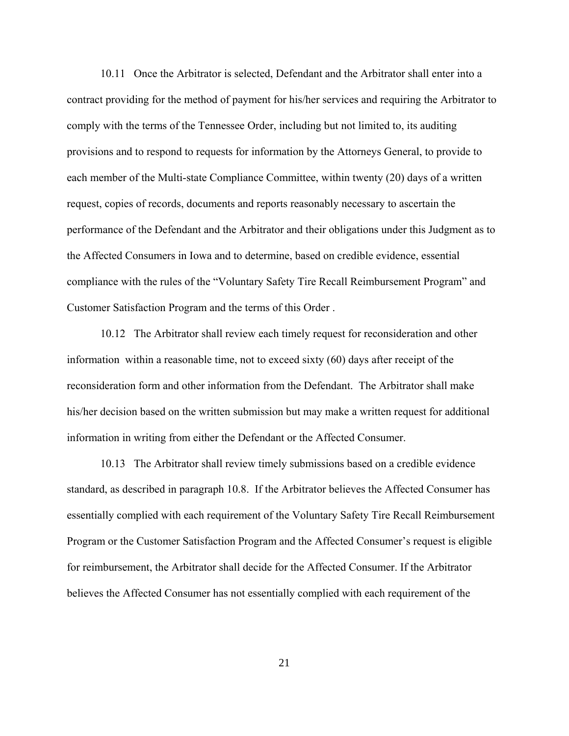10.11 Once the Arbitrator is selected, Defendant and the Arbitrator shall enter into a contract providing for the method of payment for his/her services and requiring the Arbitrator to comply with the terms of the Tennessee Order, including but not limited to, its auditing provisions and to respond to requests for information by the Attorneys General, to provide to each member of the Multi-state Compliance Committee, within twenty (20) days of a written request, copies of records, documents and reports reasonably necessary to ascertain the performance of the Defendant and the Arbitrator and their obligations under this Judgment as to the Affected Consumers in Iowa and to determine, based on credible evidence, essential compliance with the rules of the "Voluntary Safety Tire Recall Reimbursement Program" and Customer Satisfaction Program and the terms of this Order .

10.12 The Arbitrator shall review each timely request for reconsideration and other information within a reasonable time, not to exceed sixty (60) days after receipt of the reconsideration form and other information from the Defendant. The Arbitrator shall make his/her decision based on the written submission but may make a written request for additional information in writing from either the Defendant or the Affected Consumer.

10.13 The Arbitrator shall review timely submissions based on a credible evidence standard, as described in paragraph 10.8. If the Arbitrator believes the Affected Consumer has essentially complied with each requirement of the Voluntary Safety Tire Recall Reimbursement Program or the Customer Satisfaction Program and the Affected Consumer's request is eligible for reimbursement, the Arbitrator shall decide for the Affected Consumer. If the Arbitrator believes the Affected Consumer has not essentially complied with each requirement of the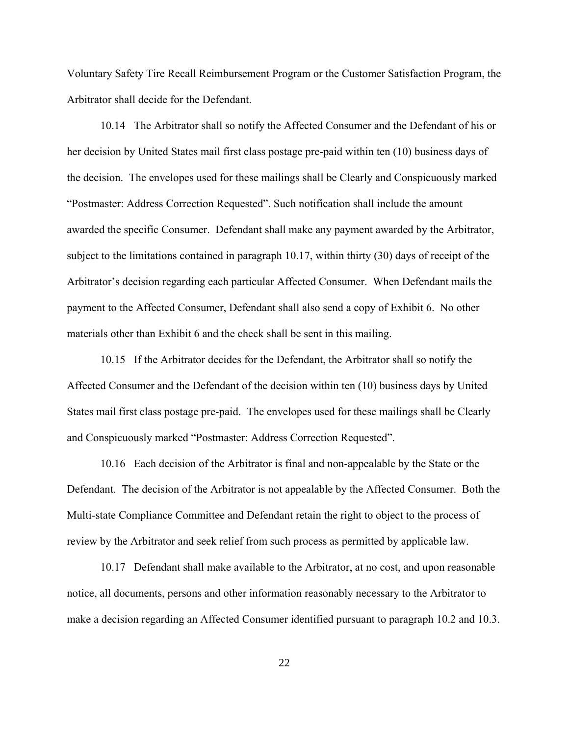Voluntary Safety Tire Recall Reimbursement Program or the Customer Satisfaction Program, the Arbitrator shall decide for the Defendant.

10.14 The Arbitrator shall so notify the Affected Consumer and the Defendant of his or her decision by United States mail first class postage pre-paid within ten (10) business days of the decision. The envelopes used for these mailings shall be Clearly and Conspicuously marked "Postmaster: Address Correction Requested". Such notification shall include the amount awarded the specific Consumer. Defendant shall make any payment awarded by the Arbitrator, subject to the limitations contained in paragraph 10.17, within thirty (30) days of receipt of the Arbitrator's decision regarding each particular Affected Consumer. When Defendant mails the payment to the Affected Consumer, Defendant shall also send a copy of Exhibit 6. No other materials other than Exhibit 6 and the check shall be sent in this mailing.

10.15 If the Arbitrator decides for the Defendant, the Arbitrator shall so notify the Affected Consumer and the Defendant of the decision within ten (10) business days by United States mail first class postage pre-paid. The envelopes used for these mailings shall be Clearly and Conspicuously marked "Postmaster: Address Correction Requested".

10.16 Each decision of the Arbitrator is final and non-appealable by the State or the Defendant. The decision of the Arbitrator is not appealable by the Affected Consumer. Both the Multi-state Compliance Committee and Defendant retain the right to object to the process of review by the Arbitrator and seek relief from such process as permitted by applicable law.

10.17 Defendant shall make available to the Arbitrator, at no cost, and upon reasonable notice, all documents, persons and other information reasonably necessary to the Arbitrator to make a decision regarding an Affected Consumer identified pursuant to paragraph 10.2 and 10.3.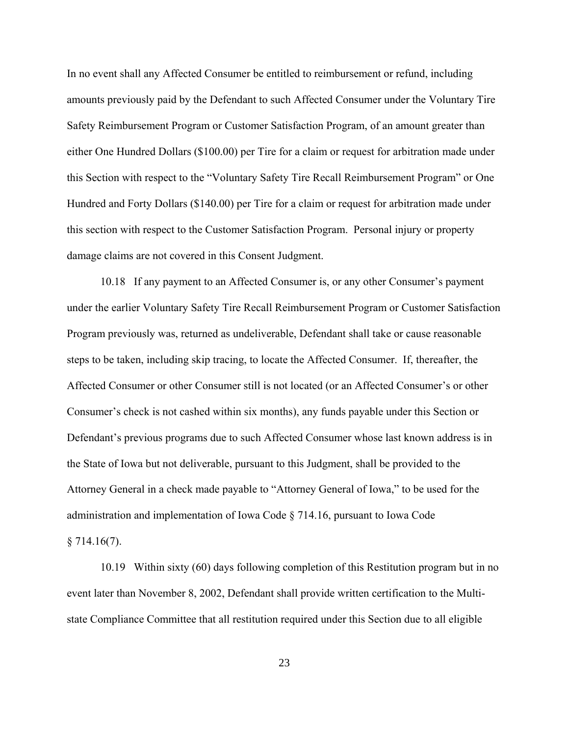In no event shall any Affected Consumer be entitled to reimbursement or refund, including amounts previously paid by the Defendant to such Affected Consumer under the Voluntary Tire Safety Reimbursement Program or Customer Satisfaction Program, of an amount greater than either One Hundred Dollars (\$100.00) per Tire for a claim or request for arbitration made under this Section with respect to the "Voluntary Safety Tire Recall Reimbursement Program" or One Hundred and Forty Dollars (\$140.00) per Tire for a claim or request for arbitration made under this section with respect to the Customer Satisfaction Program. Personal injury or property damage claims are not covered in this Consent Judgment.

10.18 If any payment to an Affected Consumer is, or any other Consumer's payment under the earlier Voluntary Safety Tire Recall Reimbursement Program or Customer Satisfaction Program previously was, returned as undeliverable, Defendant shall take or cause reasonable steps to be taken, including skip tracing, to locate the Affected Consumer. If, thereafter, the Affected Consumer or other Consumer still is not located (or an Affected Consumer's or other Consumer's check is not cashed within six months), any funds payable under this Section or Defendant's previous programs due to such Affected Consumer whose last known address is in the State of Iowa but not deliverable, pursuant to this Judgment, shall be provided to the Attorney General in a check made payable to "Attorney General of Iowa," to be used for the administration and implementation of Iowa Code § 714.16, pursuant to Iowa Code  $§ 714.16(7)$ .

10.19 Within sixty (60) days following completion of this Restitution program but in no event later than November 8, 2002, Defendant shall provide written certification to the Multistate Compliance Committee that all restitution required under this Section due to all eligible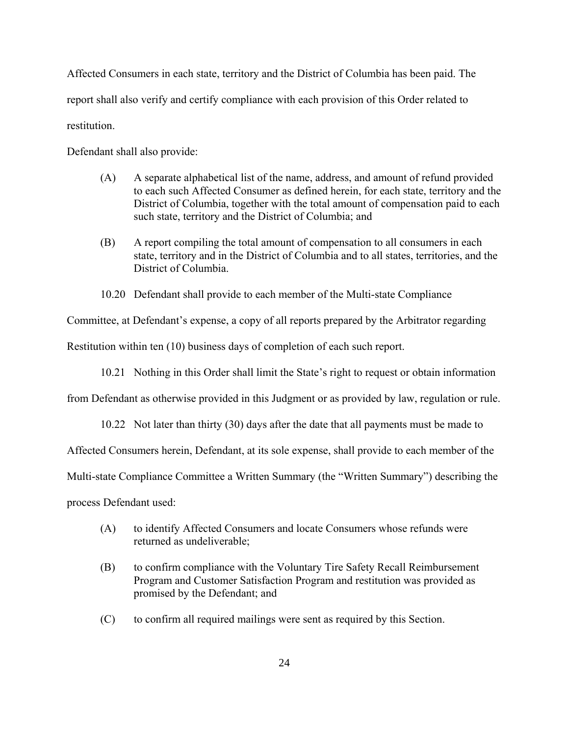Affected Consumers in each state, territory and the District of Columbia has been paid. The report shall also verify and certify compliance with each provision of this Order related to restitution.

Defendant shall also provide:

- (A) A separate alphabetical list of the name, address, and amount of refund provided to each such Affected Consumer as defined herein, for each state, territory and the District of Columbia, together with the total amount of compensation paid to each such state, territory and the District of Columbia; and
- (B) A report compiling the total amount of compensation to all consumers in each state, territory and in the District of Columbia and to all states, territories, and the District of Columbia.
- 10.20 Defendant shall provide to each member of the Multi-state Compliance

Committee, at Defendant's expense, a copy of all reports prepared by the Arbitrator regarding

Restitution within ten (10) business days of completion of each such report.

10.21 Nothing in this Order shall limit the State's right to request or obtain information

from Defendant as otherwise provided in this Judgment or as provided by law, regulation or rule.

10.22 Not later than thirty (30) days after the date that all payments must be made to

Affected Consumers herein, Defendant, at its sole expense, shall provide to each member of the

Multi-state Compliance Committee a Written Summary (the "Written Summary") describing the

process Defendant used:

- (A) to identify Affected Consumers and locate Consumers whose refunds were returned as undeliverable;
- (B) to confirm compliance with the Voluntary Tire Safety Recall Reimbursement Program and Customer Satisfaction Program and restitution was provided as promised by the Defendant; and
- (C) to confirm all required mailings were sent as required by this Section.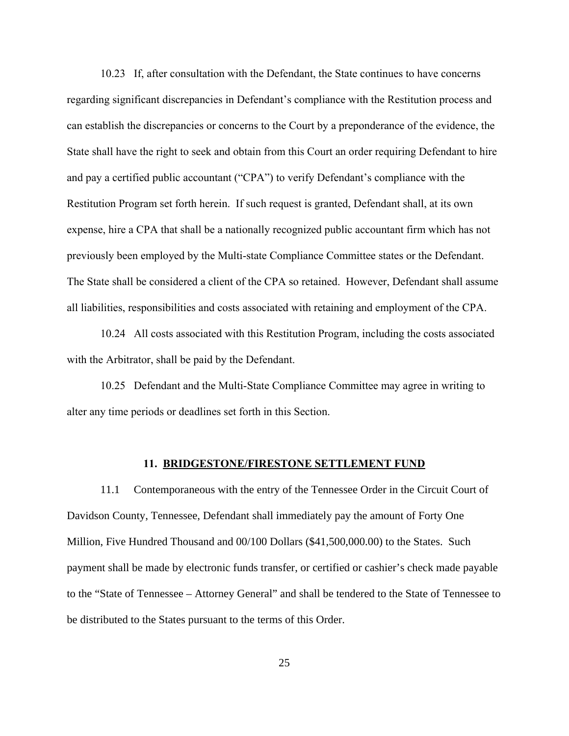10.23 If, after consultation with the Defendant, the State continues to have concerns regarding significant discrepancies in Defendant's compliance with the Restitution process and can establish the discrepancies or concerns to the Court by a preponderance of the evidence, the State shall have the right to seek and obtain from this Court an order requiring Defendant to hire and pay a certified public accountant ("CPA") to verify Defendant's compliance with the Restitution Program set forth herein. If such request is granted, Defendant shall, at its own expense, hire a CPA that shall be a nationally recognized public accountant firm which has not previously been employed by the Multi-state Compliance Committee states or the Defendant. The State shall be considered a client of the CPA so retained. However, Defendant shall assume all liabilities, responsibilities and costs associated with retaining and employment of the CPA.

10.24 All costs associated with this Restitution Program, including the costs associated with the Arbitrator, shall be paid by the Defendant.

10.25 Defendant and the Multi-State Compliance Committee may agree in writing to alter any time periods or deadlines set forth in this Section.

#### **11. BRIDGESTONE/FIRESTONE SETTLEMENT FUND**

11.1 Contemporaneous with the entry of the Tennessee Order in the Circuit Court of Davidson County, Tennessee, Defendant shall immediately pay the amount of Forty One Million, Five Hundred Thousand and 00/100 Dollars (\$41,500,000.00) to the States. Such payment shall be made by electronic funds transfer, or certified or cashier's check made payable to the "State of Tennessee – Attorney General" and shall be tendered to the State of Tennessee to be distributed to the States pursuant to the terms of this Order.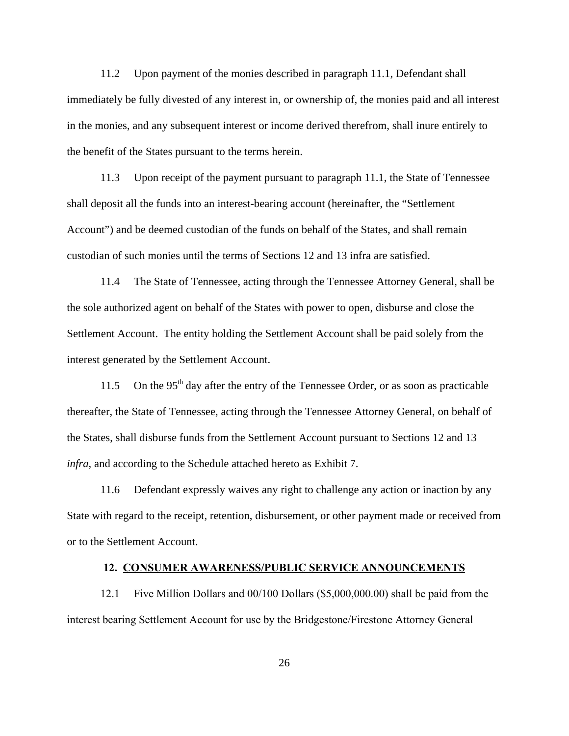11.2 Upon payment of the monies described in paragraph 11.1, Defendant shall immediately be fully divested of any interest in, or ownership of, the monies paid and all interest in the monies, and any subsequent interest or income derived therefrom, shall inure entirely to the benefit of the States pursuant to the terms herein.

11.3 Upon receipt of the payment pursuant to paragraph 11.1, the State of Tennessee shall deposit all the funds into an interest-bearing account (hereinafter, the "Settlement Account") and be deemed custodian of the funds on behalf of the States, and shall remain custodian of such monies until the terms of Sections 12 and 13 infra are satisfied.

11.4 The State of Tennessee, acting through the Tennessee Attorney General, shall be the sole authorized agent on behalf of the States with power to open, disburse and close the Settlement Account. The entity holding the Settlement Account shall be paid solely from the interest generated by the Settlement Account.

11.5 On the  $95<sup>th</sup>$  day after the entry of the Tennessee Order, or as soon as practicable thereafter, the State of Tennessee, acting through the Tennessee Attorney General, on behalf of the States, shall disburse funds from the Settlement Account pursuant to Sections 12 and 13 *infra*, and according to the Schedule attached hereto as Exhibit 7.

11.6 Defendant expressly waives any right to challenge any action or inaction by any State with regard to the receipt, retention, disbursement, or other payment made or received from or to the Settlement Account.

# **12. CONSUMER AWARENESS/PUBLIC SERVICE ANNOUNCEMENTS**

12.1 Five Million Dollars and 00/100 Dollars (\$5,000,000.00) shall be paid from the interest bearing Settlement Account for use by the Bridgestone/Firestone Attorney General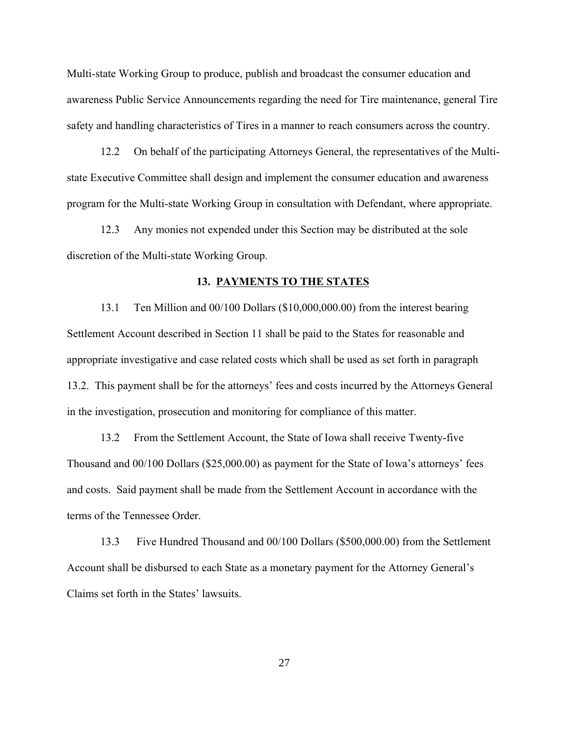Multi-state Working Group to produce, publish and broadcast the consumer education and awareness Public Service Announcements regarding the need for Tire maintenance, general Tire safety and handling characteristics of Tires in a manner to reach consumers across the country.

12.2 On behalf of the participating Attorneys General, the representatives of the Multistate Executive Committee shall design and implement the consumer education and awareness program for the Multi-state Working Group in consultation with Defendant, where appropriate.

12.3 Any monies not expended under this Section may be distributed at the sole discretion of the Multi-state Working Group.

#### **13. PAYMENTS TO THE STATES**

13.1 Ten Million and 00/100 Dollars (\$10,000,000.00) from the interest bearing Settlement Account described in Section 11 shall be paid to the States for reasonable and appropriate investigative and case related costs which shall be used as set forth in paragraph 13.2. This payment shall be for the attorneys' fees and costs incurred by the Attorneys General in the investigation, prosecution and monitoring for compliance of this matter.

13.2 From the Settlement Account, the State of Iowa shall receive Twenty-five Thousand and 00/100 Dollars (\$25,000.00) as payment for the State of Iowa's attorneys' fees and costs. Said payment shall be made from the Settlement Account in accordance with the terms of the Tennessee Order.

13.3 Five Hundred Thousand and 00/100 Dollars (\$500,000.00) from the Settlement Account shall be disbursed to each State as a monetary payment for the Attorney General's Claims set forth in the States' lawsuits.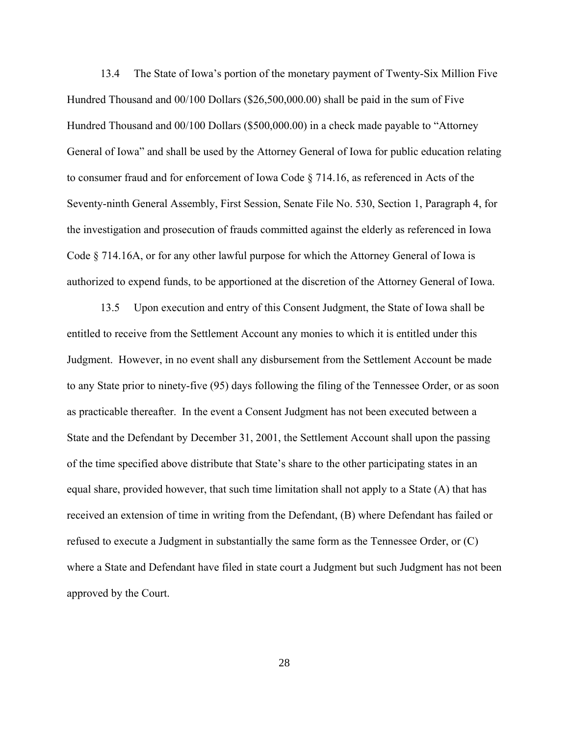13.4 The State of Iowa's portion of the monetary payment of Twenty-Six Million Five Hundred Thousand and 00/100 Dollars (\$26,500,000.00) shall be paid in the sum of Five Hundred Thousand and 00/100 Dollars (\$500,000.00) in a check made payable to "Attorney General of Iowa" and shall be used by the Attorney General of Iowa for public education relating to consumer fraud and for enforcement of Iowa Code § 714.16, as referenced in Acts of the Seventy-ninth General Assembly, First Session, Senate File No. 530, Section 1, Paragraph 4, for the investigation and prosecution of frauds committed against the elderly as referenced in Iowa Code § 714.16A, or for any other lawful purpose for which the Attorney General of Iowa is authorized to expend funds, to be apportioned at the discretion of the Attorney General of Iowa.

13.5 Upon execution and entry of this Consent Judgment, the State of Iowa shall be entitled to receive from the Settlement Account any monies to which it is entitled under this Judgment. However, in no event shall any disbursement from the Settlement Account be made to any State prior to ninety-five (95) days following the filing of the Tennessee Order, or as soon as practicable thereafter. In the event a Consent Judgment has not been executed between a State and the Defendant by December 31, 2001, the Settlement Account shall upon the passing of the time specified above distribute that State's share to the other participating states in an equal share, provided however, that such time limitation shall not apply to a State (A) that has received an extension of time in writing from the Defendant, (B) where Defendant has failed or refused to execute a Judgment in substantially the same form as the Tennessee Order, or (C) where a State and Defendant have filed in state court a Judgment but such Judgment has not been approved by the Court.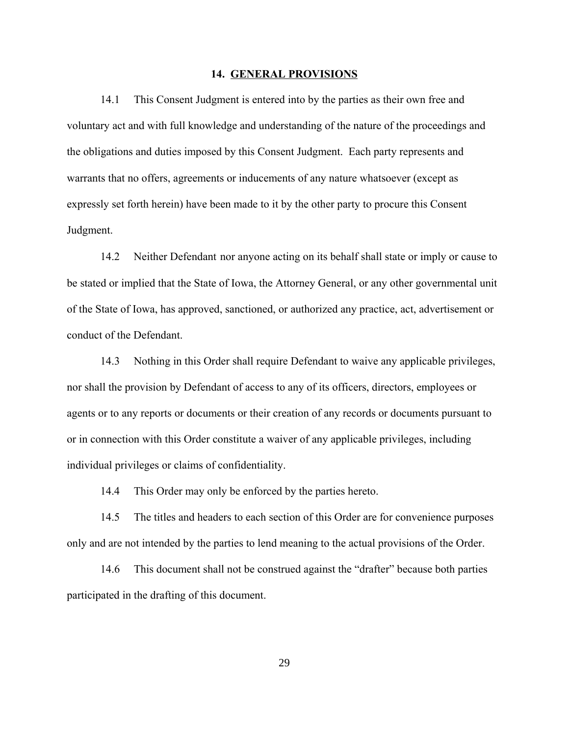#### **14. GENERAL PROVISIONS**

14.1 This Consent Judgment is entered into by the parties as their own free and voluntary act and with full knowledge and understanding of the nature of the proceedings and the obligations and duties imposed by this Consent Judgment. Each party represents and warrants that no offers, agreements or inducements of any nature whatsoever (except as expressly set forth herein) have been made to it by the other party to procure this Consent Judgment.

14.2 Neither Defendant nor anyone acting on its behalf shall state or imply or cause to be stated or implied that the State of Iowa, the Attorney General, or any other governmental unit of the State of Iowa, has approved, sanctioned, or authorized any practice, act, advertisement or conduct of the Defendant.

14.3 Nothing in this Order shall require Defendant to waive any applicable privileges, nor shall the provision by Defendant of access to any of its officers, directors, employees or agents or to any reports or documents or their creation of any records or documents pursuant to or in connection with this Order constitute a waiver of any applicable privileges, including individual privileges or claims of confidentiality.

14.4 This Order may only be enforced by the parties hereto.

14.5 The titles and headers to each section of this Order are for convenience purposes only and are not intended by the parties to lend meaning to the actual provisions of the Order.

14.6 This document shall not be construed against the "drafter" because both parties participated in the drafting of this document.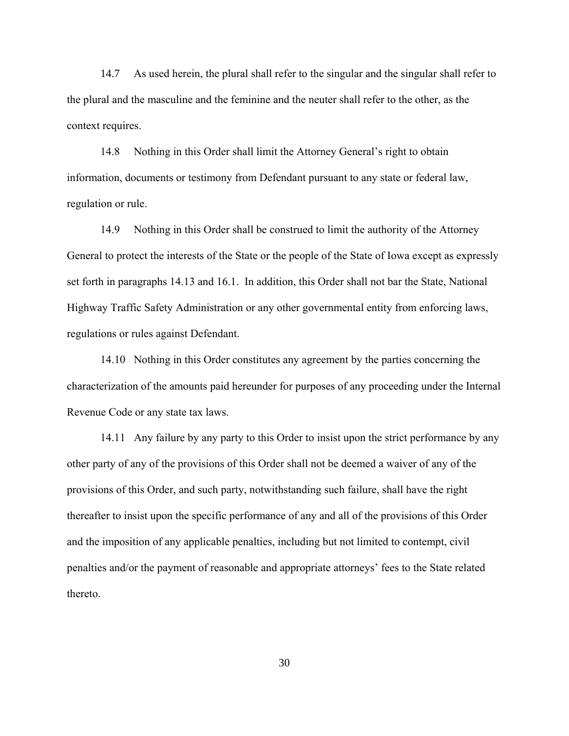14.7 As used herein, the plural shall refer to the singular and the singular shall refer to the plural and the masculine and the feminine and the neuter shall refer to the other, as the context requires.

14.8 Nothing in this Order shall limit the Attorney General's right to obtain information, documents or testimony from Defendant pursuant to any state or federal law, regulation or rule.

14.9 Nothing in this Order shall be construed to limit the authority of the Attorney General to protect the interests of the State or the people of the State of Iowa except as expressly set forth in paragraphs 14.13 and 16.1. In addition, this Order shall not bar the State, National Highway Traffic Safety Administration or any other governmental entity from enforcing laws, regulations or rules against Defendant.

14.10 Nothing in this Order constitutes any agreement by the parties concerning the characterization of the amounts paid hereunder for purposes of any proceeding under the Internal Revenue Code or any state tax laws.

14.11 Any failure by any party to this Order to insist upon the strict performance by any other party of any of the provisions of this Order shall not be deemed a waiver of any of the provisions of this Order, and such party, notwithstanding such failure, shall have the right thereafter to insist upon the specific performance of any and all of the provisions of this Order and the imposition of any applicable penalties, including but not limited to contempt, civil penalties and/or the payment of reasonable and appropriate attorneys' fees to the State related thereto.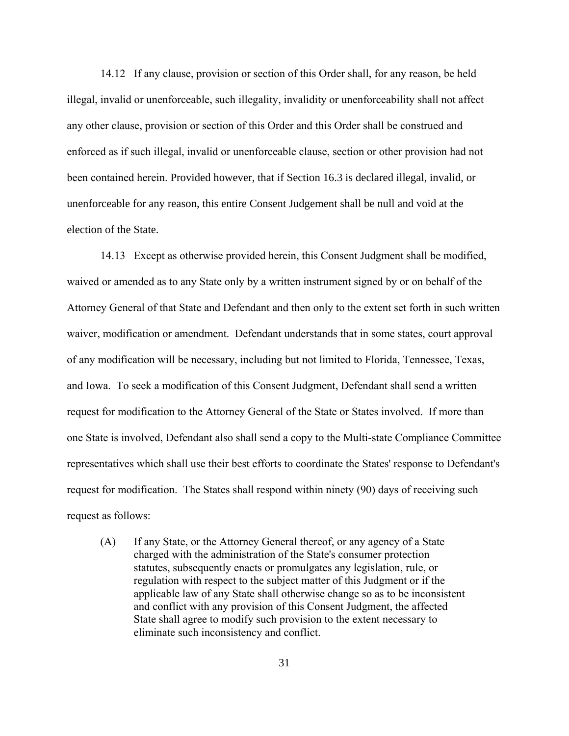14.12 If any clause, provision or section of this Order shall, for any reason, be held illegal, invalid or unenforceable, such illegality, invalidity or unenforceability shall not affect any other clause, provision or section of this Order and this Order shall be construed and enforced as if such illegal, invalid or unenforceable clause, section or other provision had not been contained herein. Provided however, that if Section 16.3 is declared illegal, invalid, or unenforceable for any reason, this entire Consent Judgement shall be null and void at the election of the State.

14.13 Except as otherwise provided herein, this Consent Judgment shall be modified, waived or amended as to any State only by a written instrument signed by or on behalf of the Attorney General of that State and Defendant and then only to the extent set forth in such written waiver, modification or amendment. Defendant understands that in some states, court approval of any modification will be necessary, including but not limited to Florida, Tennessee, Texas, and Iowa. To seek a modification of this Consent Judgment, Defendant shall send a written request for modification to the Attorney General of the State or States involved. If more than one State is involved, Defendant also shall send a copy to the Multi-state Compliance Committee representatives which shall use their best efforts to coordinate the States' response to Defendant's request for modification. The States shall respond within ninety (90) days of receiving such request as follows:

(A) If any State, or the Attorney General thereof, or any agency of a State charged with the administration of the State's consumer protection statutes, subsequently enacts or promulgates any legislation, rule, or regulation with respect to the subject matter of this Judgment or if the applicable law of any State shall otherwise change so as to be inconsistent and conflict with any provision of this Consent Judgment, the affected State shall agree to modify such provision to the extent necessary to eliminate such inconsistency and conflict.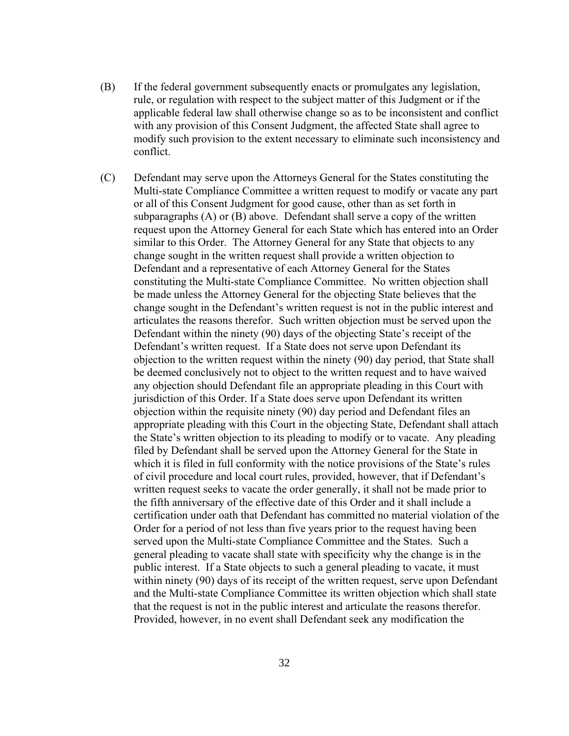- (B) If the federal government subsequently enacts or promulgates any legislation, rule, or regulation with respect to the subject matter of this Judgment or if the applicable federal law shall otherwise change so as to be inconsistent and conflict with any provision of this Consent Judgment, the affected State shall agree to modify such provision to the extent necessary to eliminate such inconsistency and conflict.
- (C) Defendant may serve upon the Attorneys General for the States constituting the Multi-state Compliance Committee a written request to modify or vacate any part or all of this Consent Judgment for good cause, other than as set forth in subparagraphs (A) or (B) above. Defendant shall serve a copy of the written request upon the Attorney General for each State which has entered into an Order similar to this Order. The Attorney General for any State that objects to any change sought in the written request shall provide a written objection to Defendant and a representative of each Attorney General for the States constituting the Multi-state Compliance Committee. No written objection shall be made unless the Attorney General for the objecting State believes that the change sought in the Defendant's written request is not in the public interest and articulates the reasons therefor. Such written objection must be served upon the Defendant within the ninety (90) days of the objecting State's receipt of the Defendant's written request. If a State does not serve upon Defendant its objection to the written request within the ninety (90) day period, that State shall be deemed conclusively not to object to the written request and to have waived any objection should Defendant file an appropriate pleading in this Court with jurisdiction of this Order. If a State does serve upon Defendant its written objection within the requisite ninety (90) day period and Defendant files an appropriate pleading with this Court in the objecting State, Defendant shall attach the State's written objection to its pleading to modify or to vacate. Any pleading filed by Defendant shall be served upon the Attorney General for the State in which it is filed in full conformity with the notice provisions of the State's rules of civil procedure and local court rules, provided, however, that if Defendant's written request seeks to vacate the order generally, it shall not be made prior to the fifth anniversary of the effective date of this Order and it shall include a certification under oath that Defendant has committed no material violation of the Order for a period of not less than five years prior to the request having been served upon the Multi-state Compliance Committee and the States. Such a general pleading to vacate shall state with specificity why the change is in the public interest. If a State objects to such a general pleading to vacate, it must within ninety (90) days of its receipt of the written request, serve upon Defendant and the Multi-state Compliance Committee its written objection which shall state that the request is not in the public interest and articulate the reasons therefor. Provided, however, in no event shall Defendant seek any modification the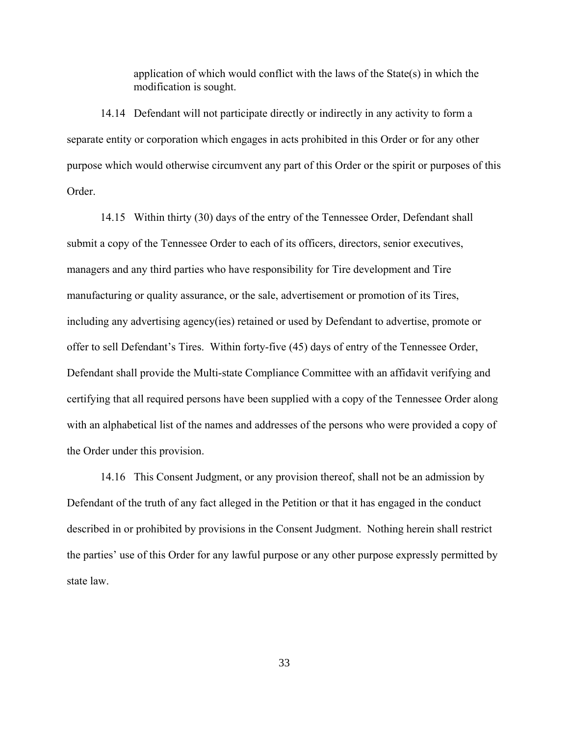application of which would conflict with the laws of the State(s) in which the modification is sought.

14.14 Defendant will not participate directly or indirectly in any activity to form a separate entity or corporation which engages in acts prohibited in this Order or for any other purpose which would otherwise circumvent any part of this Order or the spirit or purposes of this Order.

14.15 Within thirty (30) days of the entry of the Tennessee Order, Defendant shall submit a copy of the Tennessee Order to each of its officers, directors, senior executives, managers and any third parties who have responsibility for Tire development and Tire manufacturing or quality assurance, or the sale, advertisement or promotion of its Tires, including any advertising agency(ies) retained or used by Defendant to advertise, promote or offer to sell Defendant's Tires. Within forty-five (45) days of entry of the Tennessee Order, Defendant shall provide the Multi-state Compliance Committee with an affidavit verifying and certifying that all required persons have been supplied with a copy of the Tennessee Order along with an alphabetical list of the names and addresses of the persons who were provided a copy of the Order under this provision.

14.16 This Consent Judgment, or any provision thereof, shall not be an admission by Defendant of the truth of any fact alleged in the Petition or that it has engaged in the conduct described in or prohibited by provisions in the Consent Judgment. Nothing herein shall restrict the parties' use of this Order for any lawful purpose or any other purpose expressly permitted by state law.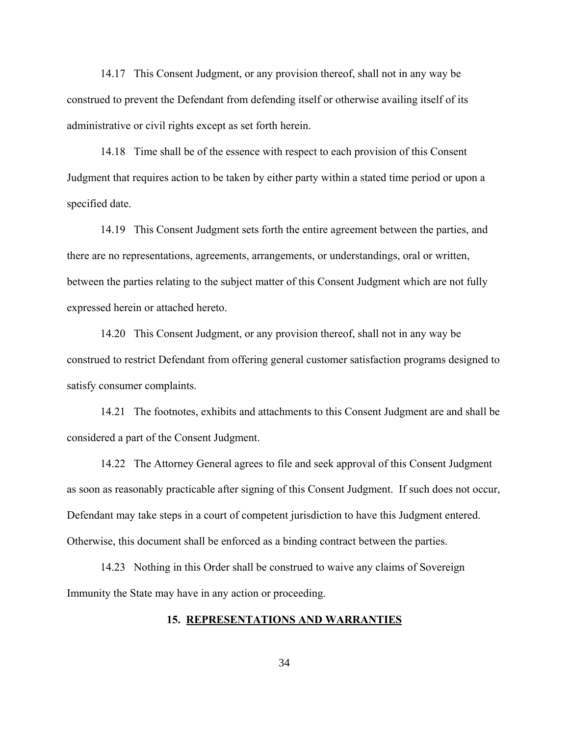14.17 This Consent Judgment, or any provision thereof, shall not in any way be construed to prevent the Defendant from defending itself or otherwise availing itself of its administrative or civil rights except as set forth herein.

14.18 Time shall be of the essence with respect to each provision of this Consent Judgment that requires action to be taken by either party within a stated time period or upon a specified date.

14.19 This Consent Judgment sets forth the entire agreement between the parties, and there are no representations, agreements, arrangements, or understandings, oral or written, between the parties relating to the subject matter of this Consent Judgment which are not fully expressed herein or attached hereto.

14.20 This Consent Judgment, or any provision thereof, shall not in any way be construed to restrict Defendant from offering general customer satisfaction programs designed to satisfy consumer complaints.

14.21 The footnotes, exhibits and attachments to this Consent Judgment are and shall be considered a part of the Consent Judgment.

14.22 The Attorney General agrees to file and seek approval of this Consent Judgment as soon as reasonably practicable after signing of this Consent Judgment. If such does not occur, Defendant may take steps in a court of competent jurisdiction to have this Judgment entered. Otherwise, this document shall be enforced as a binding contract between the parties.

14.23 Nothing in this Order shall be construed to waive any claims of Sovereign Immunity the State may have in any action or proceeding.

# **15. REPRESENTATIONS AND WARRANTIES**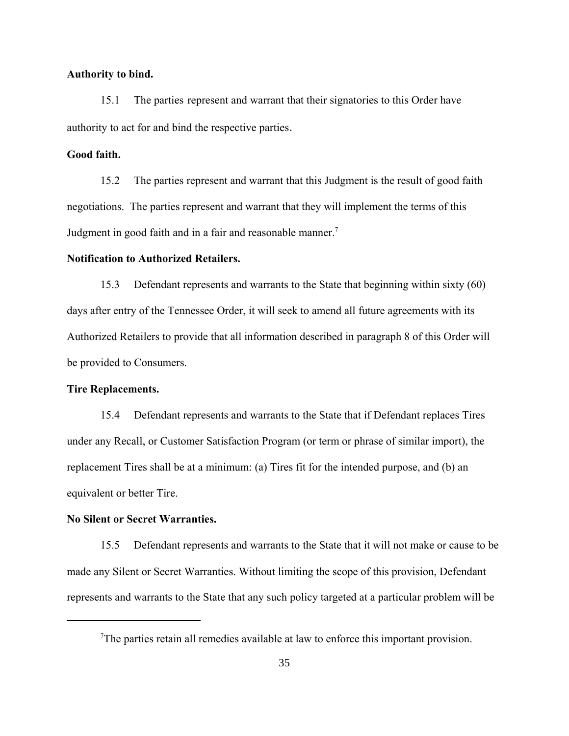# **Authority to bind.**

15.1 The parties represent and warrant that their signatories to this Order have authority to act for and bind the respective parties.

# **Good faith.**

15.2 The parties represent and warrant that this Judgment is the result of good faith negotiations. The parties represent and warrant that they will implement the terms of this Judgment in good faith and in a fair and reasonable manner.<sup>7</sup>

#### **Notification to Authorized Retailers.**

15.3 Defendant represents and warrants to the State that beginning within sixty (60) days after entry of the Tennessee Order, it will seek to amend all future agreements with its Authorized Retailers to provide that all information described in paragraph 8 of this Order will be provided to Consumers.

#### **Tire Replacements.**

15.4 Defendant represents and warrants to the State that if Defendant replaces Tires under any Recall, or Customer Satisfaction Program (or term or phrase of similar import), the replacement Tires shall be at a minimum: (a) Tires fit for the intended purpose, and (b) an equivalent or better Tire.

# **No Silent or Secret Warranties.**

15.5 Defendant represents and warrants to the State that it will not make or cause to be made any Silent or Secret Warranties. Without limiting the scope of this provision, Defendant represents and warrants to the State that any such policy targeted at a particular problem will be

 $T$ The parties retain all remedies available at law to enforce this important provision.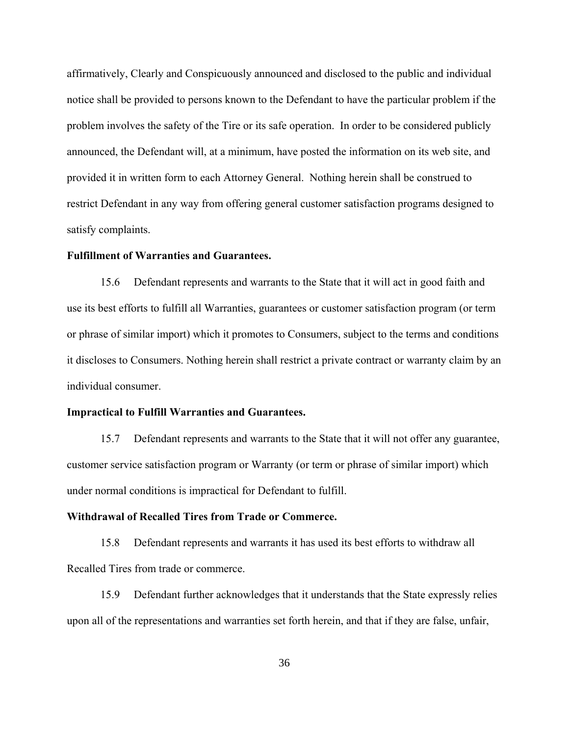affirmatively, Clearly and Conspicuously announced and disclosed to the public and individual notice shall be provided to persons known to the Defendant to have the particular problem if the problem involves the safety of the Tire or its safe operation. In order to be considered publicly announced, the Defendant will, at a minimum, have posted the information on its web site, and provided it in written form to each Attorney General. Nothing herein shall be construed to restrict Defendant in any way from offering general customer satisfaction programs designed to satisfy complaints.

### **Fulfillment of Warranties and Guarantees.**

15.6 Defendant represents and warrants to the State that it will act in good faith and use its best efforts to fulfill all Warranties, guarantees or customer satisfaction program (or term or phrase of similar import) which it promotes to Consumers, subject to the terms and conditions it discloses to Consumers. Nothing herein shall restrict a private contract or warranty claim by an individual consumer.

#### **Impractical to Fulfill Warranties and Guarantees.**

15.7 Defendant represents and warrants to the State that it will not offer any guarantee, customer service satisfaction program or Warranty (or term or phrase of similar import) which under normal conditions is impractical for Defendant to fulfill.

# **Withdrawal of Recalled Tires from Trade or Commerce.**

15.8 Defendant represents and warrants it has used its best efforts to withdraw all Recalled Tires from trade or commerce.

15.9 Defendant further acknowledges that it understands that the State expressly relies upon all of the representations and warranties set forth herein, and that if they are false, unfair,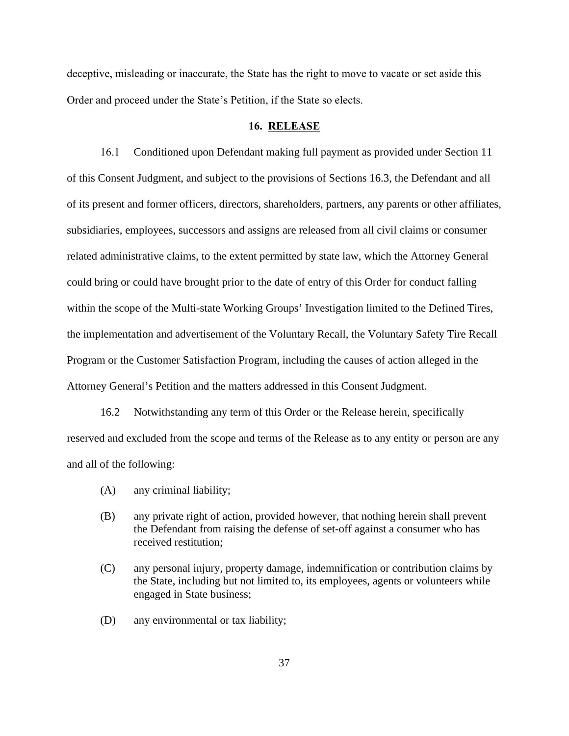deceptive, misleading or inaccurate, the State has the right to move to vacate or set aside this Order and proceed under the State's Petition, if the State so elects.

#### **16. RELEASE**

16.1 Conditioned upon Defendant making full payment as provided under Section 11 of this Consent Judgment, and subject to the provisions of Sections 16.3, the Defendant and all of its present and former officers, directors, shareholders, partners, any parents or other affiliates, subsidiaries, employees, successors and assigns are released from all civil claims or consumer related administrative claims, to the extent permitted by state law, which the Attorney General could bring or could have brought prior to the date of entry of this Order for conduct falling within the scope of the Multi-state Working Groups' Investigation limited to the Defined Tires, the implementation and advertisement of the Voluntary Recall, the Voluntary Safety Tire Recall Program or the Customer Satisfaction Program, including the causes of action alleged in the Attorney General's Petition and the matters addressed in this Consent Judgment.

16.2 Notwithstanding any term of this Order or the Release herein, specifically reserved and excluded from the scope and terms of the Release as to any entity or person are any and all of the following:

- (A) any criminal liability;
- (B) any private right of action, provided however, that nothing herein shall prevent the Defendant from raising the defense of set-off against a consumer who has received restitution;
- (C) any personal injury, property damage, indemnification or contribution claims by the State, including but not limited to, its employees, agents or volunteers while engaged in State business;
- (D) any environmental or tax liability;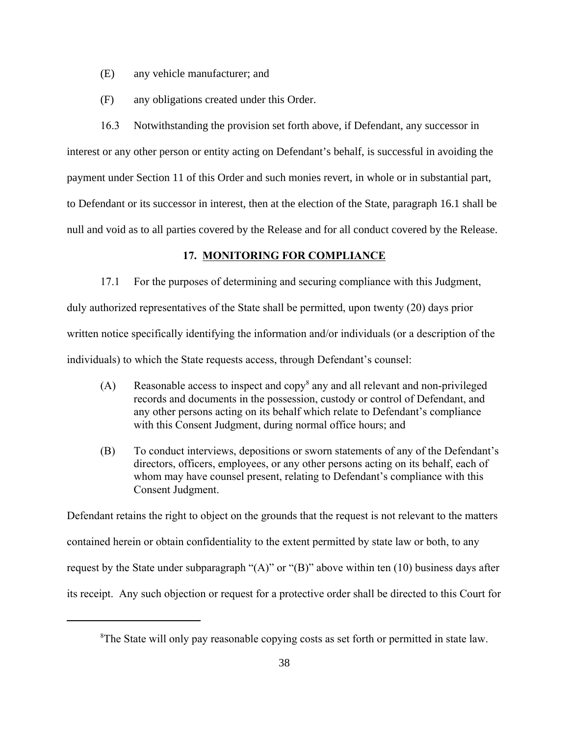- (E) any vehicle manufacturer; and
- (F) any obligations created under this Order.

16.3 Notwithstanding the provision set forth above, if Defendant, any successor in interest or any other person or entity acting on Defendant's behalf, is successful in avoiding the payment under Section 11 of this Order and such monies revert, in whole or in substantial part, to Defendant or its successor in interest, then at the election of the State, paragraph 16.1 shall be null and void as to all parties covered by the Release and for all conduct covered by the Release.

# **17. MONITORING FOR COMPLIANCE**

17.1 For the purposes of determining and securing compliance with this Judgment, duly authorized representatives of the State shall be permitted, upon twenty (20) days prior written notice specifically identifying the information and/or individuals (or a description of the individuals) to which the State requests access, through Defendant's counsel:

- (A) Reasonable access to inspect and copy<sup>8</sup> any and all relevant and non-privileged records and documents in the possession, custody or control of Defendant, and any other persons acting on its behalf which relate to Defendant's compliance with this Consent Judgment, during normal office hours; and
- (B) To conduct interviews, depositions or sworn statements of any of the Defendant's directors, officers, employees, or any other persons acting on its behalf, each of whom may have counsel present, relating to Defendant's compliance with this Consent Judgment.

Defendant retains the right to object on the grounds that the request is not relevant to the matters contained herein or obtain confidentiality to the extent permitted by state law or both, to any request by the State under subparagraph " $(A)$ " or " $(B)$ " above within ten (10) business days after its receipt. Any such objection or request for a protective order shall be directed to this Court for

<sup>&</sup>lt;sup>8</sup>The State will only pay reasonable copying costs as set forth or permitted in state law.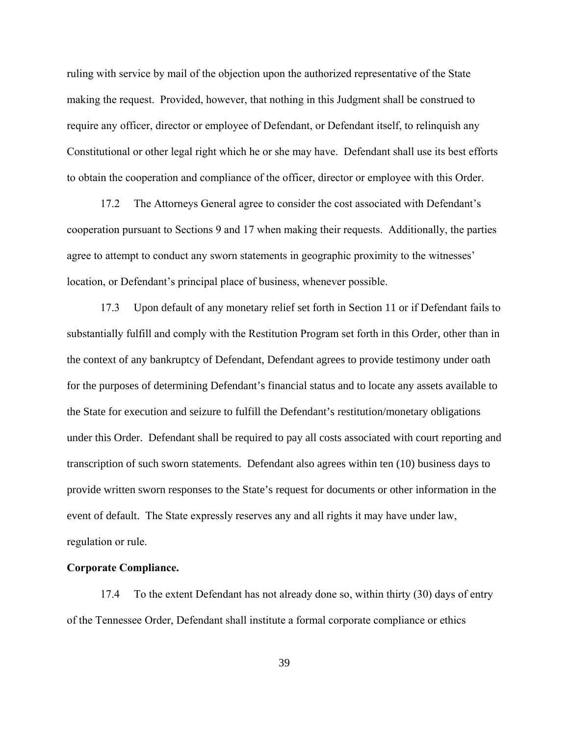ruling with service by mail of the objection upon the authorized representative of the State making the request. Provided, however, that nothing in this Judgment shall be construed to require any officer, director or employee of Defendant, or Defendant itself, to relinquish any Constitutional or other legal right which he or she may have. Defendant shall use its best efforts to obtain the cooperation and compliance of the officer, director or employee with this Order.

17.2 The Attorneys General agree to consider the cost associated with Defendant's cooperation pursuant to Sections 9 and 17 when making their requests. Additionally, the parties agree to attempt to conduct any sworn statements in geographic proximity to the witnesses' location, or Defendant's principal place of business, whenever possible.

17.3 Upon default of any monetary relief set forth in Section 11 or if Defendant fails to substantially fulfill and comply with the Restitution Program set forth in this Order, other than in the context of any bankruptcy of Defendant, Defendant agrees to provide testimony under oath for the purposes of determining Defendant's financial status and to locate any assets available to the State for execution and seizure to fulfill the Defendant's restitution/monetary obligations under this Order. Defendant shall be required to pay all costs associated with court reporting and transcription of such sworn statements. Defendant also agrees within ten (10) business days to provide written sworn responses to the State's request for documents or other information in the event of default. The State expressly reserves any and all rights it may have under law, regulation or rule.

## **Corporate Compliance.**

17.4 To the extent Defendant has not already done so, within thirty (30) days of entry of the Tennessee Order, Defendant shall institute a formal corporate compliance or ethics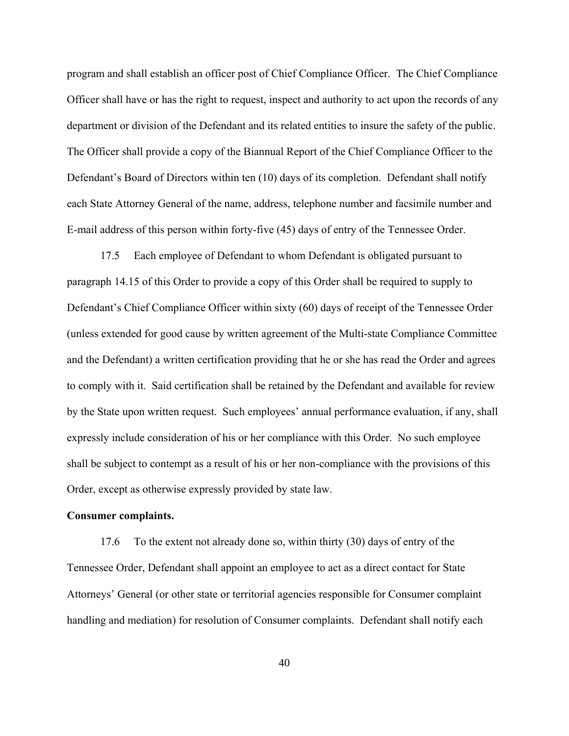program and shall establish an officer post of Chief Compliance Officer. The Chief Compliance Officer shall have or has the right to request, inspect and authority to act upon the records of any department or division of the Defendant and its related entities to insure the safety of the public. The Officer shall provide a copy of the Biannual Report of the Chief Compliance Officer to the Defendant's Board of Directors within ten (10) days of its completion. Defendant shall notify each State Attorney General of the name, address, telephone number and facsimile number and E-mail address of this person within forty-five (45) days of entry of the Tennessee Order.

17.5 Each employee of Defendant to whom Defendant is obligated pursuant to paragraph 14.15 of this Order to provide a copy of this Order shall be required to supply to Defendant's Chief Compliance Officer within sixty (60) days of receipt of the Tennessee Order (unless extended for good cause by written agreement of the Multi-state Compliance Committee and the Defendant) a written certification providing that he or she has read the Order and agrees to comply with it. Said certification shall be retained by the Defendant and available for review by the State upon written request. Such employees' annual performance evaluation, if any, shall expressly include consideration of his or her compliance with this Order. No such employee shall be subject to contempt as a result of his or her non-compliance with the provisions of this Order, except as otherwise expressly provided by state law.

# **Consumer complaints.**

17.6 To the extent not already done so, within thirty (30) days of entry of the Tennessee Order, Defendant shall appoint an employee to act as a direct contact for State Attorneys' General (or other state or territorial agencies responsible for Consumer complaint handling and mediation) for resolution of Consumer complaints. Defendant shall notify each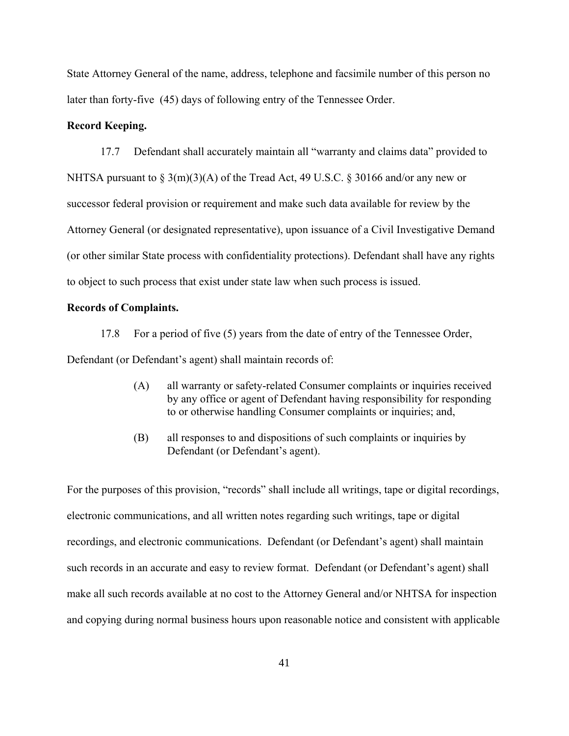State Attorney General of the name, address, telephone and facsimile number of this person no later than forty-five (45) days of following entry of the Tennessee Order.

# **Record Keeping.**

17.7 Defendant shall accurately maintain all "warranty and claims data" provided to NHTSA pursuant to  $\S 3(m)(3)(A)$  of the Tread Act, 49 U.S.C.  $\S 30166$  and/or any new or successor federal provision or requirement and make such data available for review by the Attorney General (or designated representative), upon issuance of a Civil Investigative Demand (or other similar State process with confidentiality protections). Defendant shall have any rights to object to such process that exist under state law when such process is issued.

# **Records of Complaints.**

17.8 For a period of five (5) years from the date of entry of the Tennessee Order, Defendant (or Defendant's agent) shall maintain records of:

- (A) all warranty or safety-related Consumer complaints or inquiries received by any office or agent of Defendant having responsibility for responding to or otherwise handling Consumer complaints or inquiries; and,
- (B) all responses to and dispositions of such complaints or inquiries by Defendant (or Defendant's agent).

For the purposes of this provision, "records" shall include all writings, tape or digital recordings, electronic communications, and all written notes regarding such writings, tape or digital recordings, and electronic communications. Defendant (or Defendant's agent) shall maintain such records in an accurate and easy to review format. Defendant (or Defendant's agent) shall make all such records available at no cost to the Attorney General and/or NHTSA for inspection and copying during normal business hours upon reasonable notice and consistent with applicable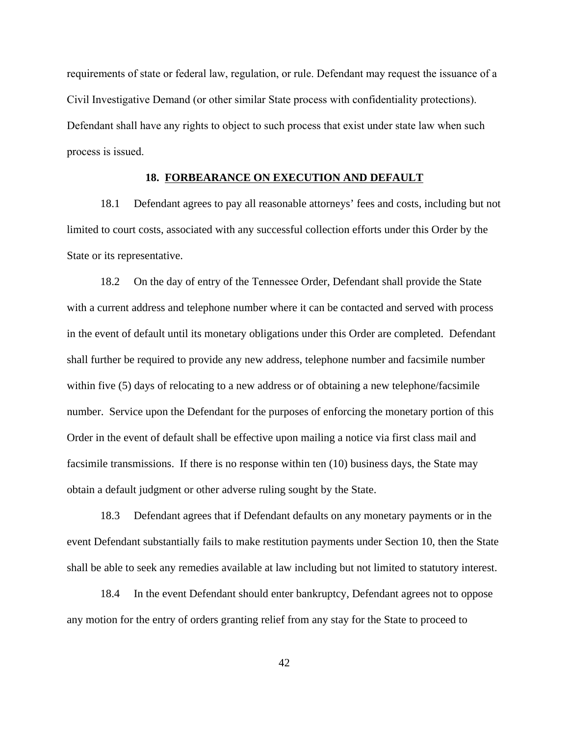requirements of state or federal law, regulation, or rule. Defendant may request the issuance of a Civil Investigative Demand (or other similar State process with confidentiality protections). Defendant shall have any rights to object to such process that exist under state law when such process is issued.

#### **18. FORBEARANCE ON EXECUTION AND DEFAULT**

18.1 Defendant agrees to pay all reasonable attorneys' fees and costs, including but not limited to court costs, associated with any successful collection efforts under this Order by the State or its representative.

18.2 On the day of entry of the Tennessee Order, Defendant shall provide the State with a current address and telephone number where it can be contacted and served with process in the event of default until its monetary obligations under this Order are completed. Defendant shall further be required to provide any new address, telephone number and facsimile number within five (5) days of relocating to a new address or of obtaining a new telephone/facsimile number. Service upon the Defendant for the purposes of enforcing the monetary portion of this Order in the event of default shall be effective upon mailing a notice via first class mail and facsimile transmissions. If there is no response within ten (10) business days, the State may obtain a default judgment or other adverse ruling sought by the State.

18.3 Defendant agrees that if Defendant defaults on any monetary payments or in the event Defendant substantially fails to make restitution payments under Section 10, then the State shall be able to seek any remedies available at law including but not limited to statutory interest.

18.4 In the event Defendant should enter bankruptcy, Defendant agrees not to oppose any motion for the entry of orders granting relief from any stay for the State to proceed to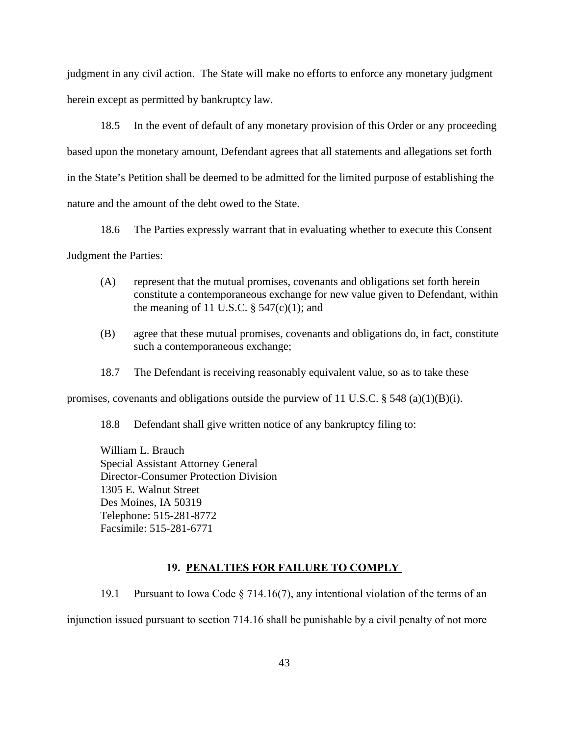judgment in any civil action. The State will make no efforts to enforce any monetary judgment herein except as permitted by bankruptcy law.

18.5 In the event of default of any monetary provision of this Order or any proceeding based upon the monetary amount, Defendant agrees that all statements and allegations set forth in the State's Petition shall be deemed to be admitted for the limited purpose of establishing the nature and the amount of the debt owed to the State.

18.6 The Parties expressly warrant that in evaluating whether to execute this Consent Judgment the Parties:

- (A) represent that the mutual promises, covenants and obligations set forth herein constitute a contemporaneous exchange for new value given to Defendant, within the meaning of 11 U.S.C.  $\S$  547(c)(1); and
- (B) agree that these mutual promises, covenants and obligations do, in fact, constitute such a contemporaneous exchange;
- 18.7 The Defendant is receiving reasonably equivalent value, so as to take these

promises, covenants and obligations outside the purview of 11 U.S.C.  $\S$  548 (a)(1)(B)(i).

18.8 Defendant shall give written notice of any bankruptcy filing to:

William L. Brauch Special Assistant Attorney General Director-Consumer Protection Division 1305 E. Walnut Street Des Moines, IA 50319 Telephone: 515-281-8772 Facsimile: 515-281-6771

#### **19. PENALTIES FOR FAILURE TO COMPLY**

19.1 Pursuant to Iowa Code § 714.16(7), any intentional violation of the terms of an injunction issued pursuant to section 714.16 shall be punishable by a civil penalty of not more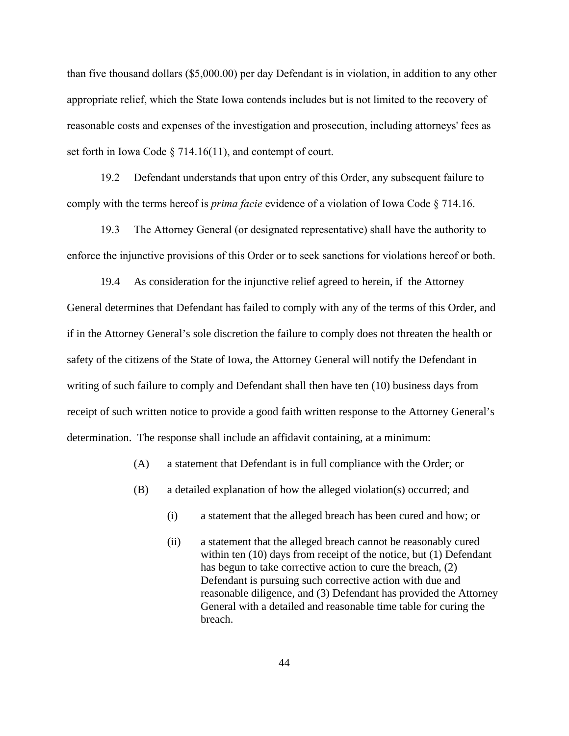than five thousand dollars (\$5,000.00) per day Defendant is in violation, in addition to any other appropriate relief, which the State Iowa contends includes but is not limited to the recovery of reasonable costs and expenses of the investigation and prosecution, including attorneys' fees as set forth in Iowa Code § 714.16(11), and contempt of court.

19.2 Defendant understands that upon entry of this Order, any subsequent failure to comply with the terms hereof is *prima facie* evidence of a violation of Iowa Code § 714.16.

19.3 The Attorney General (or designated representative) shall have the authority to enforce the injunctive provisions of this Order or to seek sanctions for violations hereof or both.

19.4 As consideration for the injunctive relief agreed to herein, if the Attorney General determines that Defendant has failed to comply with any of the terms of this Order, and if in the Attorney General's sole discretion the failure to comply does not threaten the health or safety of the citizens of the State of Iowa, the Attorney General will notify the Defendant in writing of such failure to comply and Defendant shall then have ten (10) business days from receipt of such written notice to provide a good faith written response to the Attorney General's determination. The response shall include an affidavit containing, at a minimum:

(A) a statement that Defendant is in full compliance with the Order; or

- (B) a detailed explanation of how the alleged violation(s) occurred; and
	- (i) a statement that the alleged breach has been cured and how; or
	- (ii) a statement that the alleged breach cannot be reasonably cured within ten (10) days from receipt of the notice, but (1) Defendant has begun to take corrective action to cure the breach, (2) Defendant is pursuing such corrective action with due and reasonable diligence, and (3) Defendant has provided the Attorney General with a detailed and reasonable time table for curing the breach.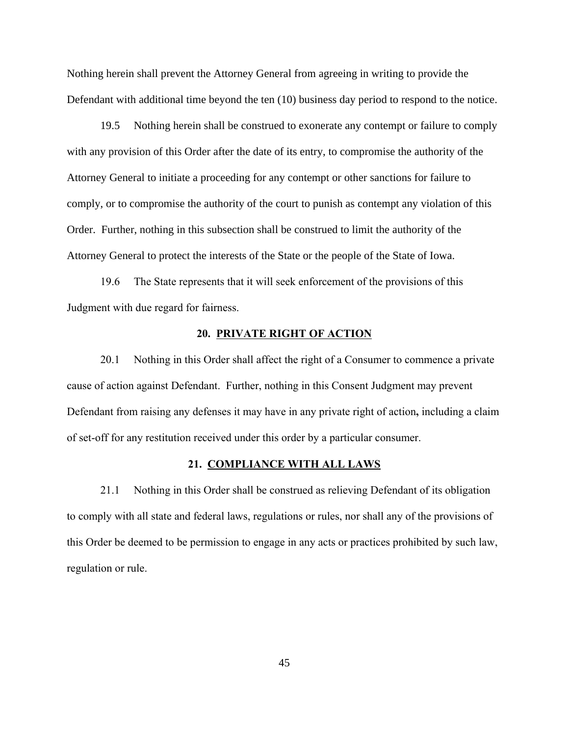Nothing herein shall prevent the Attorney General from agreeing in writing to provide the Defendant with additional time beyond the ten (10) business day period to respond to the notice.

19.5 Nothing herein shall be construed to exonerate any contempt or failure to comply with any provision of this Order after the date of its entry, to compromise the authority of the Attorney General to initiate a proceeding for any contempt or other sanctions for failure to comply, or to compromise the authority of the court to punish as contempt any violation of this Order. Further, nothing in this subsection shall be construed to limit the authority of the Attorney General to protect the interests of the State or the people of the State of Iowa.

19.6 The State represents that it will seek enforcement of the provisions of this Judgment with due regard for fairness.

# **20. PRIVATE RIGHT OF ACTION**

20.1 Nothing in this Order shall affect the right of a Consumer to commence a private cause of action against Defendant. Further, nothing in this Consent Judgment may prevent Defendant from raising any defenses it may have in any private right of action**,** including a claim of set-off for any restitution received under this order by a particular consumer.

#### **21. COMPLIANCE WITH ALL LAWS**

21.1 Nothing in this Order shall be construed as relieving Defendant of its obligation to comply with all state and federal laws, regulations or rules, nor shall any of the provisions of this Order be deemed to be permission to engage in any acts or practices prohibited by such law, regulation or rule.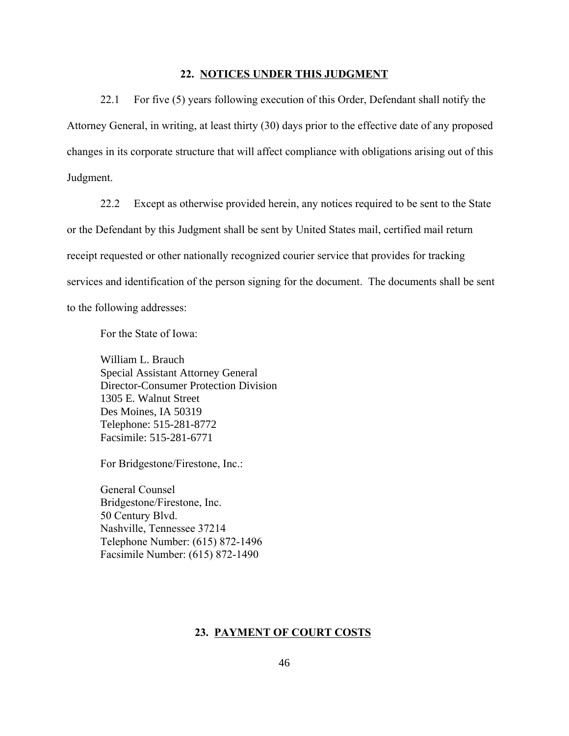#### **22. NOTICES UNDER THIS JUDGMENT**

22.1 For five (5) years following execution of this Order, Defendant shall notify the Attorney General, in writing, at least thirty (30) days prior to the effective date of any proposed changes in its corporate structure that will affect compliance with obligations arising out of this Judgment.

22.2 Except as otherwise provided herein, any notices required to be sent to the State or the Defendant by this Judgment shall be sent by United States mail, certified mail return receipt requested or other nationally recognized courier service that provides for tracking services and identification of the person signing for the document. The documents shall be sent to the following addresses:

For the State of Iowa:

William L. Brauch Special Assistant Attorney General Director-Consumer Protection Division 1305 E. Walnut Street Des Moines, IA 50319 Telephone: 515-281-8772 Facsimile: 515-281-6771

For Bridgestone/Firestone, Inc.:

General Counsel Bridgestone/Firestone, Inc. 50 Century Blvd. Nashville, Tennessee 37214 Telephone Number: (615) 872-1496 Facsimile Number: (615) 872-1490

#### **23. PAYMENT OF COURT COSTS**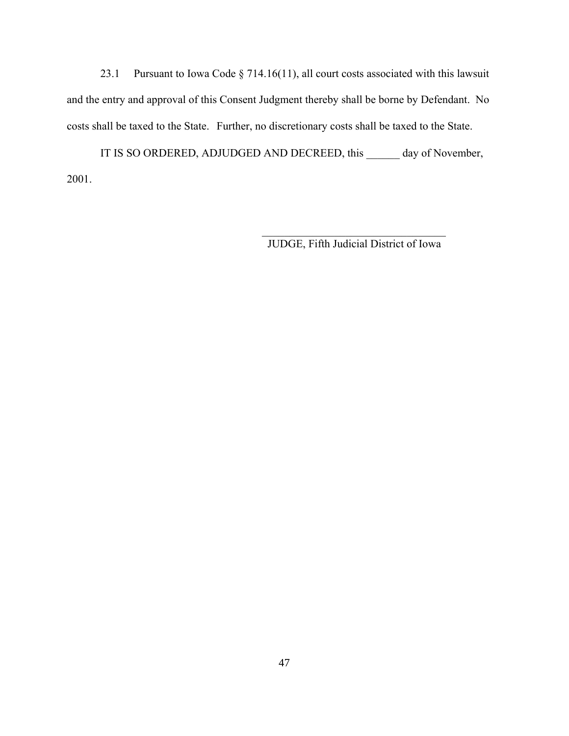23.1 Pursuant to Iowa Code § 714.16(11), all court costs associated with this lawsuit and the entry and approval of this Consent Judgment thereby shall be borne by Defendant. No costs shall be taxed to the State. Further, no discretionary costs shall be taxed to the State.

IT IS SO ORDERED, ADJUDGED AND DECREED, this \_\_\_\_\_\_ day of November, 2001.

JUDGE, Fifth Judicial District of Iowa

 $\mathcal{L}_\text{max} = \frac{1}{2} \sum_{i=1}^{n} \frac{1}{2} \sum_{i=1}^{n} \frac{1}{2} \sum_{i=1}^{n} \frac{1}{2} \sum_{i=1}^{n} \frac{1}{2} \sum_{i=1}^{n} \frac{1}{2} \sum_{i=1}^{n} \frac{1}{2} \sum_{i=1}^{n} \frac{1}{2} \sum_{i=1}^{n} \frac{1}{2} \sum_{i=1}^{n} \frac{1}{2} \sum_{i=1}^{n} \frac{1}{2} \sum_{i=1}^{n} \frac{1}{2} \sum_{i=1}^{n} \frac{1$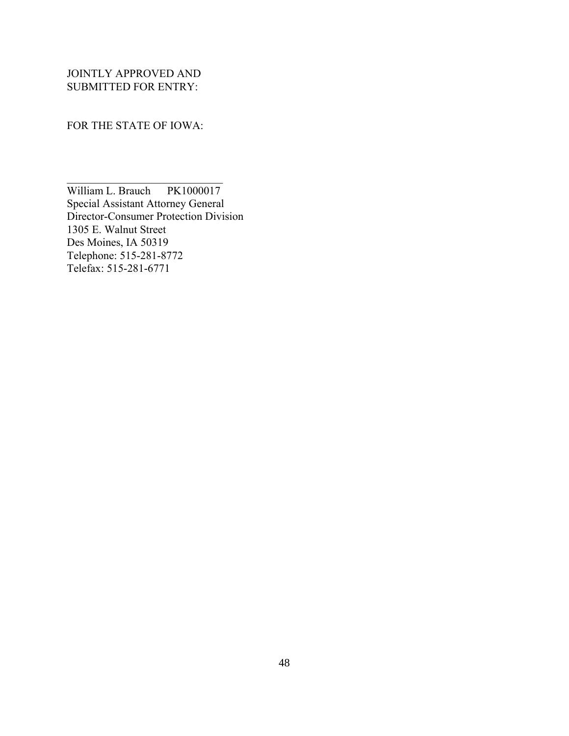JOINTLY APPROVED AND SUBMITTED FOR ENTRY:

FOR THE STATE OF IOWA:

 $\mathcal{L}_\text{max}$  , where  $\mathcal{L}_\text{max}$  , we have the set of  $\mathcal{L}_\text{max}$ 

William L. Brauch PK1000017 Special Assistant Attorney General Director-Consumer Protection Division 1305 E. Walnut Street Des Moines, IA 50319 Telephone: 515-281-8772 Telefax: 515-281-6771